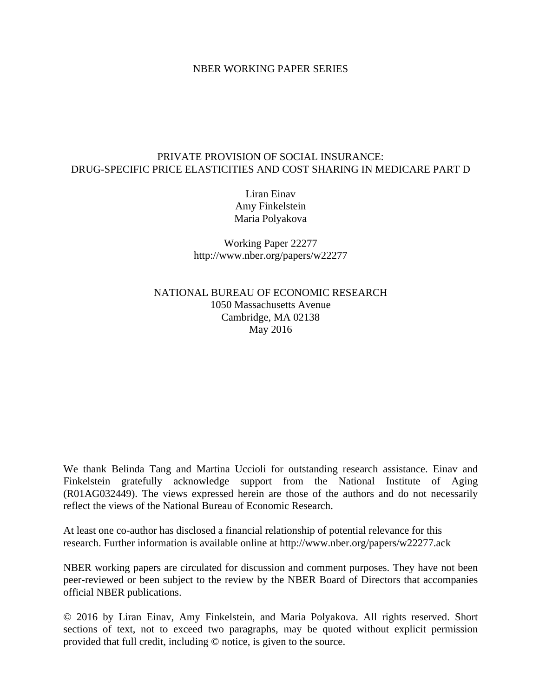### NBER WORKING PAPER SERIES

## PRIVATE PROVISION OF SOCIAL INSURANCE: DRUG-SPECIFIC PRICE ELASTICITIES AND COST SHARING IN MEDICARE PART D

Liran Einav Amy Finkelstein Maria Polyakova

Working Paper 22277 http://www.nber.org/papers/w22277

NATIONAL BUREAU OF ECONOMIC RESEARCH 1050 Massachusetts Avenue Cambridge, MA 02138 May 2016

We thank Belinda Tang and Martina Uccioli for outstanding research assistance. Einav and Finkelstein gratefully acknowledge support from the National Institute of Aging (R01AG032449). The views expressed herein are those of the authors and do not necessarily reflect the views of the National Bureau of Economic Research.

At least one co-author has disclosed a financial relationship of potential relevance for this research. Further information is available online at http://www.nber.org/papers/w22277.ack

NBER working papers are circulated for discussion and comment purposes. They have not been peer-reviewed or been subject to the review by the NBER Board of Directors that accompanies official NBER publications.

© 2016 by Liran Einav, Amy Finkelstein, and Maria Polyakova. All rights reserved. Short sections of text, not to exceed two paragraphs, may be quoted without explicit permission provided that full credit, including © notice, is given to the source.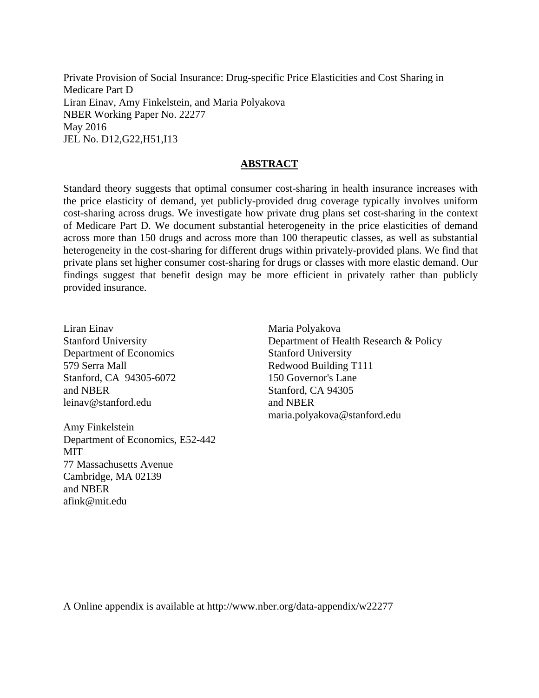Private Provision of Social Insurance: Drug-specific Price Elasticities and Cost Sharing in Medicare Part D Liran Einav, Amy Finkelstein, and Maria Polyakova NBER Working Paper No. 22277 May 2016 JEL No. D12,G22,H51,I13

## **ABSTRACT**

Standard theory suggests that optimal consumer cost-sharing in health insurance increases with the price elasticity of demand, yet publicly-provided drug coverage typically involves uniform cost-sharing across drugs. We investigate how private drug plans set cost-sharing in the context of Medicare Part D. We document substantial heterogeneity in the price elasticities of demand across more than 150 drugs and across more than 100 therapeutic classes, as well as substantial heterogeneity in the cost-sharing for different drugs within privately-provided plans. We find that private plans set higher consumer cost-sharing for drugs or classes with more elastic demand. Our findings suggest that benefit design may be more efficient in privately rather than publicly provided insurance.

Liran Einav Stanford University Department of Economics 579 Serra Mall Stanford, CA 94305-6072 and NBER leinav@stanford.edu

Amy Finkelstein Department of Economics, E52-442 MIT 77 Massachusetts Avenue Cambridge, MA 02139 and NBER afink@mit.edu

Maria Polyakova Department of Health Research & Policy Stanford University Redwood Building T111 150 Governor's Lane Stanford, CA 94305 and NBER maria.polyakova@stanford.edu

A Online appendix is available at http://www.nber.org/data-appendix/w22277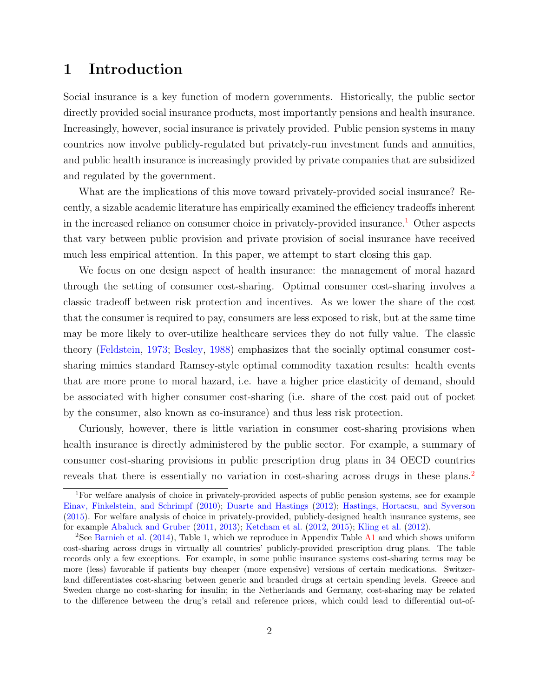# 1 Introduction

Social insurance is a key function of modern governments. Historically, the public sector directly provided social insurance products, most importantly pensions and health insurance. Increasingly, however, social insurance is privately provided. Public pension systems in many countries now involve publicly-regulated but privately-run investment funds and annuities, and public health insurance is increasingly provided by private companies that are subsidized and regulated by the government.

What are the implications of this move toward privately-provided social insurance? Recently, a sizable academic literature has empirically examined the efficiency tradeoffs inherent in the increased reliance on consumer choice in privately-provided insurance.<sup>[1](#page-2-0)</sup> Other aspects that vary between public provision and private provision of social insurance have received much less empirical attention. In this paper, we attempt to start closing this gap.

We focus on one design aspect of health insurance: the management of moral hazard through the setting of consumer cost-sharing. Optimal consumer cost-sharing involves a classic tradeoff between risk protection and incentives. As we lower the share of the cost that the consumer is required to pay, consumers are less exposed to risk, but at the same time may be more likely to over-utilize healthcare services they do not fully value. The classic theory [\(Feldstein,](#page-31-0) [1973;](#page-31-0) [Besley,](#page-29-0) [1988\)](#page-29-0) emphasizes that the socially optimal consumer costsharing mimics standard Ramsey-style optimal commodity taxation results: health events that are more prone to moral hazard, i.e. have a higher price elasticity of demand, should be associated with higher consumer cost-sharing (i.e. share of the cost paid out of pocket by the consumer, also known as co-insurance) and thus less risk protection.

Curiously, however, there is little variation in consumer cost-sharing provisions when health insurance is directly administered by the public sector. For example, a summary of consumer cost-sharing provisions in public prescription drug plans in 34 OECD countries reveals that there is essentially no variation in cost-sharing across drugs in these plans.<sup>[2](#page-2-1)</sup>

<span id="page-2-0"></span><sup>1</sup>For welfare analysis of choice in privately-provided aspects of public pension systems, see for example [Einav, Finkelstein, and Schrimpf](#page-31-1) [\(2010\)](#page-31-1); [Duarte and Hastings](#page-30-0) [\(2012\)](#page-30-0); [Hastings, Hortacsu, and Syverson](#page-32-0) [\(2015\)](#page-32-0). For welfare analysis of choice in privately-provided, publicly-designed health insurance systems, see for example [Abaluck and Gruber](#page-29-1) [\(2011,](#page-29-1) [2013\)](#page-29-2); [Ketcham et al.](#page-32-1) [\(2012,](#page-32-1) [2015\)](#page-32-2); [Kling et al.](#page-32-3) [\(2012\)](#page-32-3).

<span id="page-2-1"></span><sup>2</sup>See [Barnieh et al.](#page-29-3) [\(2014\)](#page-29-3), Table 1, which we reproduce in Appendix Table A1 and which shows uniform cost-sharing across drugs in virtually all countries' publicly-provided prescription drug plans. The table records only a few exceptions. For example, in some public insurance systems cost-sharing terms may be more (less) favorable if patients buy cheaper (more expensive) versions of certain medications. Switzerland differentiates cost-sharing between generic and branded drugs at certain spending levels. Greece and Sweden charge no cost-sharing for insulin; in the Netherlands and Germany, cost-sharing may be related to the difference between the drug's retail and reference prices, which could lead to differential out-of-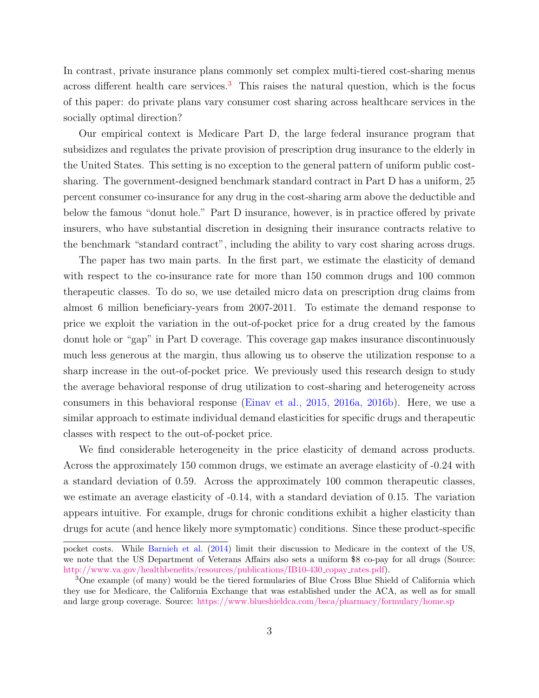In contrast, private insurance plans commonly set complex multi-tiered cost-sharing menus across different health care services. $3$  This raises the natural question, which is the focus of this paper: do private plans vary consumer cost sharing across healthcare services in the socially optimal direction?

Our empirical context is Medicare Part D, the large federal insurance program that subsidizes and regulates the private provision of prescription drug insurance to the elderly in the United States. This setting is no exception to the general pattern of uniform public costsharing. The government-designed benchmark standard contract in Part D has a uniform, 25 percent consumer co-insurance for any drug in the cost-sharing arm above the deductible and below the famous "donut hole." Part D insurance, however, is in practice offered by private insurers, who have substantial discretion in designing their insurance contracts relative to the benchmark "standard contract", including the ability to vary cost sharing across drugs.

The paper has two main parts. In the first part, we estimate the elasticity of demand with respect to the co-insurance rate for more than 150 common drugs and 100 common therapeutic classes. To do so, we use detailed micro data on prescription drug claims from almost 6 million beneficiary-years from 2007-2011. To estimate the demand response to price we exploit the variation in the out-of-pocket price for a drug created by the famous donut hole or "gap" in Part D coverage. This coverage gap makes insurance discontinuously much less generous at the margin, thus allowing us to observe the utilization response to a sharp increase in the out-of-pocket price. We previously used this research design to study the average behavioral response of drug utilization to cost-sharing and heterogeneity across consumers in this behavioral response (Einav et al., 2015, 2016a, 2016b). Here, we use a similar approach to estimate individual demand elasticities for specific drugs and therapeutic classes with respect to the out-of-pocket price.

We find considerable heterogeneity in the price elasticity of demand across products. Across the approximately 150 common drugs, we estimate an average elasticity of -0.24 with a standard deviation of 0.59. Across the approximately 100 common therapeutic classes, we estimate an average elasticity of -0.14, with a standard deviation of 0.15. The variation appears intuitive. For example, drugs for chronic conditions exhibit a higher elasticity than drugs for acute (and hence likely more symptomatic) conditions. Since these product-specific

pocket costs. While [Barnieh et al.](#page-29-3) [\(2014\)](#page-29-3) limit their discussion to Medicare in the context of the US, we note that the US Department of Veterans Affairs also sets a uniform \$8 co-pay for all drugs (Source: [http://www.va.gov/healthbenefits/resources/publications/IB10-430](http://www.va.gov/healthbenefits/resources/publications/IB10-430_copay_rates.pdf)\_copay\_rates.pdf).

<span id="page-3-0"></span><sup>&</sup>lt;sup>3</sup>One example (of many) would be the tiered formularies of Blue Cross Blue Shield of California which they use for Medicare, the California Exchange that was established under the ACA, as well as for small and large group coverage. Source: <https://www.blueshieldca.com/bsca/pharmacy/formulary/home.sp>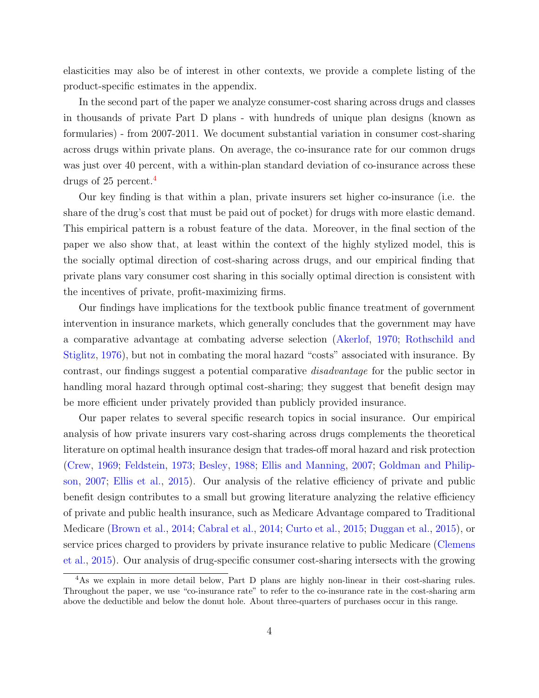elasticities may also be of interest in other contexts, we provide a complete listing of the product-specific estimates in the appendix.

In the second part of the paper we analyze consumer-cost sharing across drugs and classes in thousands of private Part D plans - with hundreds of unique plan designs (known as formularies) - from 2007-2011. We document substantial variation in consumer cost-sharing across drugs within private plans. On average, the co-insurance rate for our common drugs was just over 40 percent, with a within-plan standard deviation of co-insurance across these drugs of 25 percent.[4](#page-4-0)

Our key finding is that within a plan, private insurers set higher co-insurance (i.e. the share of the drug's cost that must be paid out of pocket) for drugs with more elastic demand. This empirical pattern is a robust feature of the data. Moreover, in the final section of the paper we also show that, at least within the context of the highly stylized model, this is the socially optimal direction of cost-sharing across drugs, and our empirical finding that private plans vary consumer cost sharing in this socially optimal direction is consistent with the incentives of private, profit-maximizing firms.

Our findings have implications for the textbook public finance treatment of government intervention in insurance markets, which generally concludes that the government may have a comparative advantage at combating adverse selection [\(Akerlof,](#page-29-4) [1970;](#page-29-4) [Rothschild and](#page-32-4) [Stiglitz,](#page-32-4) [1976\)](#page-32-4), but not in combating the moral hazard "costs" associated with insurance. By contrast, our findings suggest a potential comparative disadvantage for the public sector in handling moral hazard through optimal cost-sharing; they suggest that benefit design may be more efficient under privately provided than publicly provided insurance.

Our paper relates to several specific research topics in social insurance. Our empirical analysis of how private insurers vary cost-sharing across drugs complements the theoretical literature on optimal health insurance design that trades-off moral hazard and risk protection [\(Crew,](#page-30-1) [1969;](#page-30-1) [Feldstein,](#page-31-0) [1973;](#page-31-0) [Besley,](#page-29-0) [1988;](#page-29-0) [Ellis and Manning,](#page-31-2) [2007;](#page-31-2) [Goldman and Philip](#page-31-3)[son,](#page-31-3) [2007;](#page-31-3) [Ellis et al.,](#page-31-4) [2015\)](#page-31-4). Our analysis of the relative efficiency of private and public benefit design contributes to a small but growing literature analyzing the relative efficiency of private and public health insurance, such as Medicare Advantage compared to Traditional Medicare [\(Brown et al.,](#page-29-5) [2014;](#page-29-5) [Cabral et al.,](#page-30-2) [2014;](#page-30-2) [Curto et al.,](#page-30-3) [2015;](#page-30-3) [Duggan et al.,](#page-31-5) [2015\)](#page-31-5), or service prices charged to providers by private insurance relative to public Medicare [\(Clemens](#page-30-4) [et al.,](#page-30-4) [2015\)](#page-30-4). Our analysis of drug-specific consumer cost-sharing intersects with the growing

<span id="page-4-0"></span><sup>&</sup>lt;sup>4</sup>As we explain in more detail below, Part D plans are highly non-linear in their cost-sharing rules. Throughout the paper, we use "co-insurance rate" to refer to the co-insurance rate in the cost-sharing arm above the deductible and below the donut hole. About three-quarters of purchases occur in this range.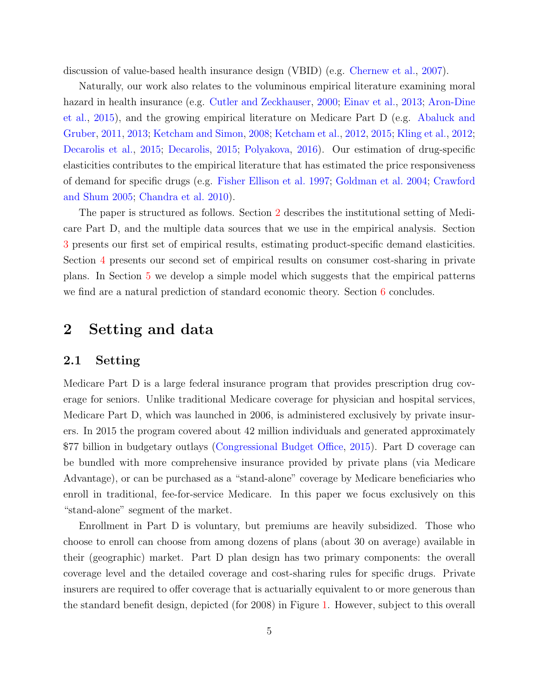discussion of value-based health insurance design (VBID) (e.g. [Chernew et al.,](#page-30-5) [2007\)](#page-30-5).

Naturally, our work also relates to the voluminous empirical literature examining moral hazard in health insurance (e.g. [Cutler and Zeckhauser,](#page-30-6) [2000;](#page-30-6) [Einav et al.,](#page-31-6) [2013;](#page-31-6) [Aron-Dine](#page-29-6) [et al.,](#page-29-6) [2015\)](#page-29-6), and the growing empirical literature on Medicare Part D (e.g. [Abaluck and](#page-29-1) [Gruber,](#page-29-1) [2011,](#page-29-1) [2013;](#page-29-2) [Ketcham and Simon,](#page-32-5) [2008;](#page-32-5) [Ketcham et al.,](#page-32-1) [2012,](#page-32-1) [2015;](#page-32-2) [Kling et al.,](#page-32-3) [2012;](#page-32-3) [Decarolis et al.,](#page-30-7) [2015;](#page-30-7) [Decarolis,](#page-30-8) [2015;](#page-30-8) [Polyakova,](#page-32-6) [2016\)](#page-32-6). Our estimation of drug-specific elasticities contributes to the empirical literature that has estimated the price responsiveness of demand for specific drugs (e.g. [Fisher Ellison et al. 1997;](#page-31-7) [Goldman et al. 2004;](#page-31-8) [Crawford](#page-30-9) [and Shum 2005;](#page-30-9) [Chandra et al. 2010\)](#page-30-10).

The paper is structured as follows. Section [2](#page-5-0) describes the institutional setting of Medicare Part D, and the multiple data sources that we use in the empirical analysis. Section [3](#page-7-0) presents our first set of empirical results, estimating product-specific demand elasticities. Section [4](#page-16-0) presents our second set of empirical results on consumer cost-sharing in private plans. In Section [5](#page-23-0) we develop a simple model which suggests that the empirical patterns we find are a natural prediction of standard economic theory. Section [6](#page-27-0) concludes.

## <span id="page-5-0"></span>2 Setting and data

### 2.1 Setting

Medicare Part D is a large federal insurance program that provides prescription drug coverage for seniors. Unlike traditional Medicare coverage for physician and hospital services, Medicare Part D, which was launched in 2006, is administered exclusively by private insurers. In 2015 the program covered about 42 million individuals and generated approximately \$77 billion in budgetary outlays [\(Congressional Budget Office,](#page-30-11) [2015\)](#page-30-11). Part D coverage can be bundled with more comprehensive insurance provided by private plans (via Medicare Advantage), or can be purchased as a "stand-alone" coverage by Medicare beneficiaries who enroll in traditional, fee-for-service Medicare. In this paper we focus exclusively on this "stand-alone" segment of the market.

Enrollment in Part D is voluntary, but premiums are heavily subsidized. Those who choose to enroll can choose from among dozens of plans (about 30 on average) available in their (geographic) market. Part D plan design has two primary components: the overall coverage level and the detailed coverage and cost-sharing rules for specific drugs. Private insurers are required to offer coverage that is actuarially equivalent to or more generous than the standard benefit design, depicted (for 2008) in Figure [1.](#page-33-0) However, subject to this overall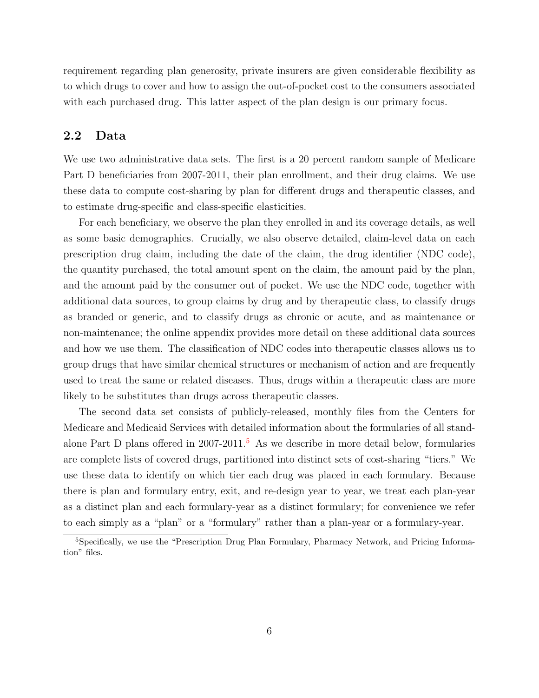requirement regarding plan generosity, private insurers are given considerable flexibility as to which drugs to cover and how to assign the out-of-pocket cost to the consumers associated with each purchased drug. This latter aspect of the plan design is our primary focus.

## 2.2 Data

We use two administrative data sets. The first is a 20 percent random sample of Medicare Part D beneficiaries from 2007-2011, their plan enrollment, and their drug claims. We use these data to compute cost-sharing by plan for different drugs and therapeutic classes, and to estimate drug-specific and class-specific elasticities.

For each beneficiary, we observe the plan they enrolled in and its coverage details, as well as some basic demographics. Crucially, we also observe detailed, claim-level data on each prescription drug claim, including the date of the claim, the drug identifier (NDC code), the quantity purchased, the total amount spent on the claim, the amount paid by the plan, and the amount paid by the consumer out of pocket. We use the NDC code, together with additional data sources, to group claims by drug and by therapeutic class, to classify drugs as branded or generic, and to classify drugs as chronic or acute, and as maintenance or non-maintenance; the online appendix provides more detail on these additional data sources and how we use them. The classification of NDC codes into therapeutic classes allows us to group drugs that have similar chemical structures or mechanism of action and are frequently used to treat the same or related diseases. Thus, drugs within a therapeutic class are more likely to be substitutes than drugs across therapeutic classes.

The second data set consists of publicly-released, monthly files from the Centers for Medicare and Medicaid Services with detailed information about the formularies of all standalone Part D plans offered in  $2007-2011$ <sup>[5](#page-6-0)</sup> As we describe in more detail below, formularies are complete lists of covered drugs, partitioned into distinct sets of cost-sharing "tiers." We use these data to identify on which tier each drug was placed in each formulary. Because there is plan and formulary entry, exit, and re-design year to year, we treat each plan-year as a distinct plan and each formulary-year as a distinct formulary; for convenience we refer to each simply as a "plan" or a "formulary" rather than a plan-year or a formulary-year.

<span id="page-6-0"></span><sup>&</sup>lt;sup>5</sup>Specifically, we use the "Prescription Drug Plan Formulary, Pharmacy Network, and Pricing Information" files.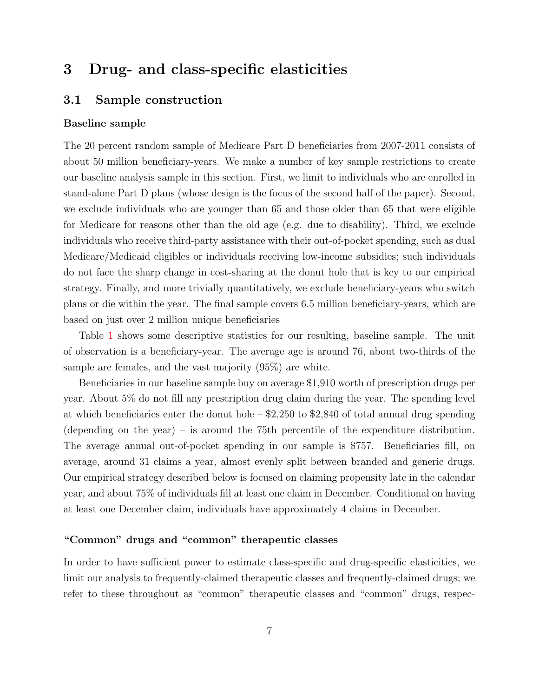# <span id="page-7-0"></span>3 Drug- and class-specific elasticities

## 3.1 Sample construction

#### Baseline sample

The 20 percent random sample of Medicare Part D beneficiaries from 2007-2011 consists of about 50 million beneficiary-years. We make a number of key sample restrictions to create our baseline analysis sample in this section. First, we limit to individuals who are enrolled in stand-alone Part D plans (whose design is the focus of the second half of the paper). Second, we exclude individuals who are younger than 65 and those older than 65 that were eligible for Medicare for reasons other than the old age (e.g. due to disability). Third, we exclude individuals who receive third-party assistance with their out-of-pocket spending, such as dual Medicare/Medicaid eligibles or individuals receiving low-income subsidies; such individuals do not face the sharp change in cost-sharing at the donut hole that is key to our empirical strategy. Finally, and more trivially quantitatively, we exclude beneficiary-years who switch plans or die within the year. The final sample covers 6.5 million beneficiary-years, which are based on just over 2 million unique beneficiaries

Table [1](#page-39-0) shows some descriptive statistics for our resulting, baseline sample. The unit of observation is a beneficiary-year. The average age is around 76, about two-thirds of the sample are females, and the vast majority (95%) are white.

Beneficiaries in our baseline sample buy on average \$1,910 worth of prescription drugs per year. About 5% do not fill any prescription drug claim during the year. The spending level at which beneficiaries enter the donut hole  $-$  \$2,250 to \$2,840 of total annual drug spending (depending on the year) – is around the 75th percentile of the expenditure distribution. The average annual out-of-pocket spending in our sample is \$757. Beneficiaries fill, on average, around 31 claims a year, almost evenly split between branded and generic drugs. Our empirical strategy described below is focused on claiming propensity late in the calendar year, and about 75% of individuals fill at least one claim in December. Conditional on having at least one December claim, individuals have approximately 4 claims in December.

#### "Common" drugs and "common" therapeutic classes

In order to have sufficient power to estimate class-specific and drug-specific elasticities, we limit our analysis to frequently-claimed therapeutic classes and frequently-claimed drugs; we refer to these throughout as "common" therapeutic classes and "common" drugs, respec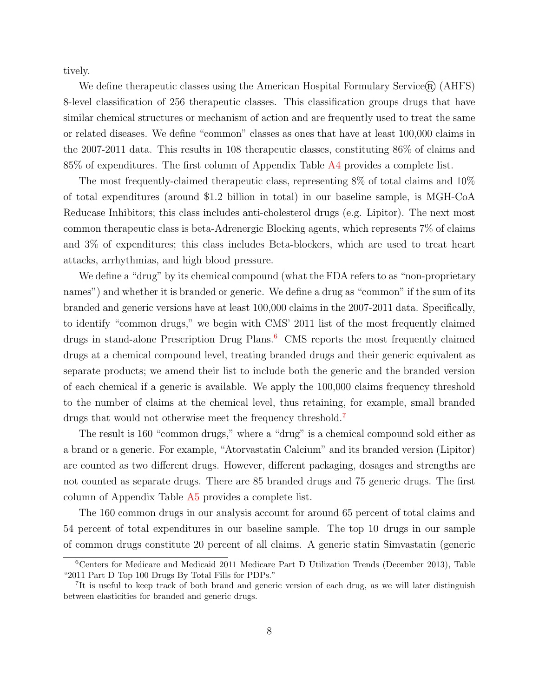tively.

We define therapeutic classes using the American Hospital Formulary Service $\mathcal{R}$  (AHFS) 8-level classification of 256 therapeutic classes. This classification groups drugs that have similar chemical structures or mechanism of action and are frequently used to treat the same or related diseases. We define "common" classes as ones that have at least 100,000 claims in the 2007-2011 data. This results in 108 therapeutic classes, constituting 86% of claims and 85% of expenditures. The first column of Appendix Table A4 provides a complete list.

The most frequently-claimed therapeutic class, representing 8% of total claims and 10% of total expenditures (around \$1.2 billion in total) in our baseline sample, is MGH-CoA Reducase Inhibitors; this class includes anti-cholesterol drugs (e.g. Lipitor). The next most common therapeutic class is beta-Adrenergic Blocking agents, which represents 7% of claims and 3% of expenditures; this class includes Beta-blockers, which are used to treat heart attacks, arrhythmias, and high blood pressure.

We define a "drug" by its chemical compound (what the FDA refers to as "non-proprietary names") and whether it is branded or generic. We define a drug as "common" if the sum of its branded and generic versions have at least 100,000 claims in the 2007-2011 data. Specifically, to identify "common drugs," we begin with CMS' 2011 list of the most frequently claimed drugs in stand-alone Prescription Drug Plans.<sup>[6](#page-8-0)</sup> CMS reports the most frequently claimed drugs at a chemical compound level, treating branded drugs and their generic equivalent as separate products; we amend their list to include both the generic and the branded version of each chemical if a generic is available. We apply the 100,000 claims frequency threshold to the number of claims at the chemical level, thus retaining, for example, small branded drugs that would not otherwise meet the frequency threshold.<sup>[7](#page-8-1)</sup>

The result is 160 "common drugs," where a "drug" is a chemical compound sold either as a brand or a generic. For example, "Atorvastatin Calcium" and its branded version (Lipitor) are counted as two different drugs. However, different packaging, dosages and strengths are not counted as separate drugs. There are 85 branded drugs and 75 generic drugs. The first column of Appendix Table A5 provides a complete list.

The 160 common drugs in our analysis account for around 65 percent of total claims and 54 percent of total expenditures in our baseline sample. The top 10 drugs in our sample of common drugs constitute 20 percent of all claims. A generic statin Simvastatin (generic

<span id="page-8-0"></span><sup>6</sup>Centers for Medicare and Medicaid 2011 Medicare Part D Utilization Trends (December 2013), Table "2011 Part D Top 100 Drugs By Total Fills for PDPs."

<span id="page-8-1"></span><sup>&</sup>lt;sup>7</sup>It is useful to keep track of both brand and generic version of each drug, as we will later distinguish between elasticities for branded and generic drugs.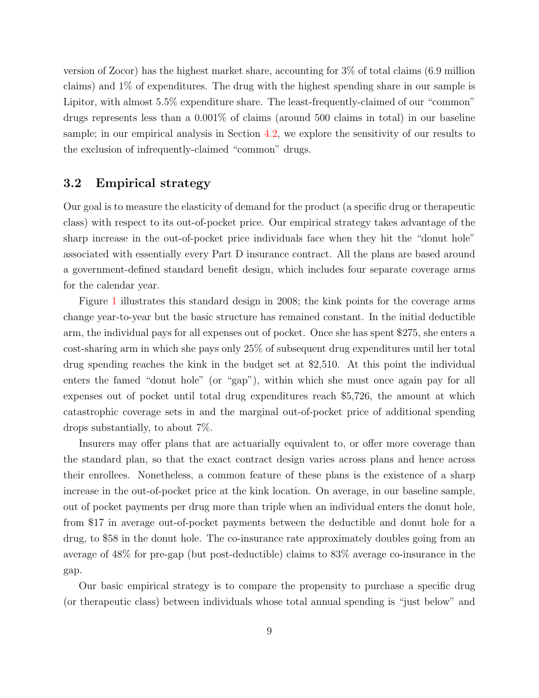version of Zocor) has the highest market share, accounting for 3% of total claims (6.9 million claims) and 1% of expenditures. The drug with the highest spending share in our sample is Lipitor, with almost  $5.5\%$  expenditure share. The least-frequently-claimed of our "common" drugs represents less than a 0.001% of claims (around 500 claims in total) in our baseline sample; in our empirical analysis in Section [4.2,](#page-19-0) we explore the sensitivity of our results to the exclusion of infrequently-claimed "common" drugs.

## <span id="page-9-0"></span>3.2 Empirical strategy

Our goal is to measure the elasticity of demand for the product (a specific drug or therapeutic class) with respect to its out-of-pocket price. Our empirical strategy takes advantage of the sharp increase in the out-of-pocket price individuals face when they hit the "donut hole" associated with essentially every Part D insurance contract. All the plans are based around a government-defined standard benefit design, which includes four separate coverage arms for the calendar year.

Figure [1](#page-33-0) illustrates this standard design in 2008; the kink points for the coverage arms change year-to-year but the basic structure has remained constant. In the initial deductible arm, the individual pays for all expenses out of pocket. Once she has spent \$275, she enters a cost-sharing arm in which she pays only 25% of subsequent drug expenditures until her total drug spending reaches the kink in the budget set at \$2,510. At this point the individual enters the famed "donut hole" (or "gap"), within which she must once again pay for all expenses out of pocket until total drug expenditures reach \$5,726, the amount at which catastrophic coverage sets in and the marginal out-of-pocket price of additional spending drops substantially, to about 7%.

Insurers may offer plans that are actuarially equivalent to, or offer more coverage than the standard plan, so that the exact contract design varies across plans and hence across their enrollees. Nonetheless, a common feature of these plans is the existence of a sharp increase in the out-of-pocket price at the kink location. On average, in our baseline sample, out of pocket payments per drug more than triple when an individual enters the donut hole, from \$17 in average out-of-pocket payments between the deductible and donut hole for a drug, to \$58 in the donut hole. The co-insurance rate approximately doubles going from an average of 48% for pre-gap (but post-deductible) claims to 83% average co-insurance in the gap.

Our basic empirical strategy is to compare the propensity to purchase a specific drug (or therapeutic class) between individuals whose total annual spending is "just below" and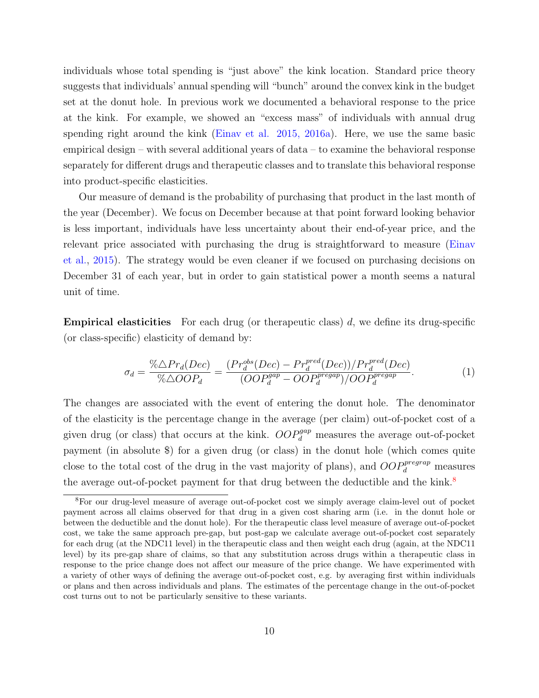individuals whose total spending is "just above" the kink location. Standard price theory suggests that individuals' annual spending will "bunch" around the convex kink in the budget set at the donut hole. In previous work we documented a behavioral response to the price at the kink. For example, we showed an "excess mass" of individuals with annual drug spending right around the kink (Einav et al. 2015, 2016a). Here, we use the same basic empirical design – with several additional years of data – to examine the behavioral response separately for different drugs and therapeutic classes and to translate this behavioral response into product-specific elasticities.

Our measure of demand is the probability of purchasing that product in the last month of the year (December). We focus on December because at that point forward looking behavior is less important, individuals have less uncertainty about their end-of-year price, and the relevant price associated with purchasing the drug is straightforward to measure [\(Einav](#page-31-9) [et al.,](#page-31-9) [2015\)](#page-31-9). The strategy would be even cleaner if we focused on purchasing decisions on December 31 of each year, but in order to gain statistical power a month seems a natural unit of time.

**Empirical elasticities** For each drug (or therapeutic class)  $d$ , we define its drug-specific (or class-specific) elasticity of demand by:

<span id="page-10-1"></span>
$$
\sigma_d = \frac{\% \triangle Pr_d(Dec)}{\% \triangle OOP_d} = \frac{(Pr_d^{obs}(Dec) - Pr_d^{pred}(Dec))/Pr_d^{pred}(Dec)}{(OOP_d^{gap} - OOP_d^{pregap})/OOP_d^{pregap}}.
$$
\n(1)

The changes are associated with the event of entering the donut hole. The denominator of the elasticity is the percentage change in the average (per claim) out-of-pocket cost of a given drug (or class) that occurs at the kink.  $OOP_d^{gap}$  measures the average out-of-pocket payment (in absolute \$) for a given drug (or class) in the donut hole (which comes quite close to the total cost of the drug in the vast majority of plans), and  $OOP_d^{pregrap}$  measures the average out-of-pocket payment for that drug between the deductible and the kink.<sup>[8](#page-10-0)</sup>

<span id="page-10-0"></span><sup>8</sup>For our drug-level measure of average out-of-pocket cost we simply average claim-level out of pocket payment across all claims observed for that drug in a given cost sharing arm (i.e. in the donut hole or between the deductible and the donut hole). For the therapeutic class level measure of average out-of-pocket cost, we take the same approach pre-gap, but post-gap we calculate average out-of-pocket cost separately for each drug (at the NDC11 level) in the therapeutic class and then weight each drug (again, at the NDC11 level) by its pre-gap share of claims, so that any substitution across drugs within a therapeutic class in response to the price change does not affect our measure of the price change. We have experimented with a variety of other ways of defining the average out-of-pocket cost, e.g. by averaging first within individuals or plans and then across individuals and plans. The estimates of the percentage change in the out-of-pocket cost turns out to not be particularly sensitive to these variants.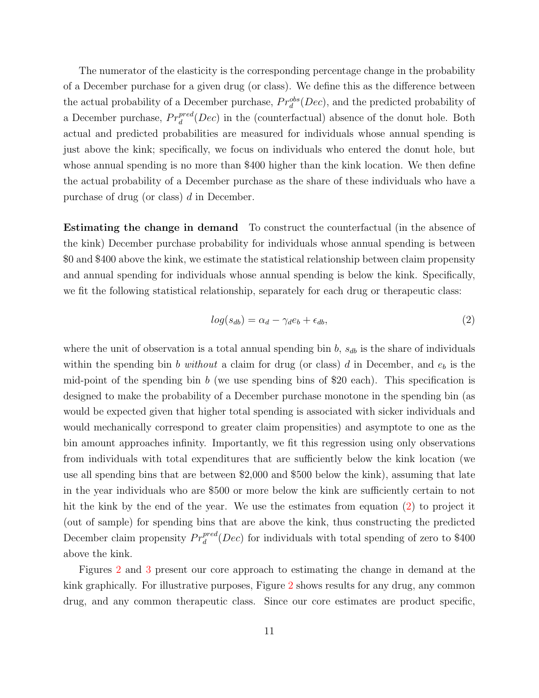The numerator of the elasticity is the corresponding percentage change in the probability of a December purchase for a given drug (or class). We define this as the difference between the actual probability of a December purchase,  $Pr_d^{obs}(Dec)$ , and the predicted probability of a December purchase,  $Pr_d^{pred}(Dec)$  in the (counterfactual) absence of the donut hole. Both actual and predicted probabilities are measured for individuals whose annual spending is just above the kink; specifically, we focus on individuals who entered the donut hole, but whose annual spending is no more than \$400 higher than the kink location. We then define the actual probability of a December purchase as the share of these individuals who have a purchase of drug (or class) d in December.

Estimating the change in demand To construct the counterfactual (in the absence of the kink) December purchase probability for individuals whose annual spending is between \$0 and \$400 above the kink, we estimate the statistical relationship between claim propensity and annual spending for individuals whose annual spending is below the kink. Specifically, we fit the following statistical relationship, separately for each drug or therapeutic class:

<span id="page-11-0"></span>
$$
log(s_{db}) = \alpha_d - \gamma_d e_b + \epsilon_{db},\tag{2}
$$

where the unit of observation is a total annual spending bin  $b$ ,  $s_{db}$  is the share of individuals within the spending bin b without a claim for drug (or class) d in December, and  $e<sub>b</sub>$  is the mid-point of the spending bin b (we use spending bins of \$20 each). This specification is designed to make the probability of a December purchase monotone in the spending bin (as would be expected given that higher total spending is associated with sicker individuals and would mechanically correspond to greater claim propensities) and asymptote to one as the bin amount approaches infinity. Importantly, we fit this regression using only observations from individuals with total expenditures that are sufficiently below the kink location (we use all spending bins that are between \$2,000 and \$500 below the kink), assuming that late in the year individuals who are \$500 or more below the kink are sufficiently certain to not hit the kink by the end of the year. We use the estimates from equation [\(2\)](#page-11-0) to project it (out of sample) for spending bins that are above the kink, thus constructing the predicted December claim propensity  $Pr_d^{pred}(Dec)$  for individuals with total spending of zero to \$400 above the kink.

Figures [2](#page-34-0) and [3](#page-35-0) present our core approach to estimating the change in demand at the kink graphically. For illustrative purposes, Figure [2](#page-34-0) shows results for any drug, any common drug, and any common therapeutic class. Since our core estimates are product specific,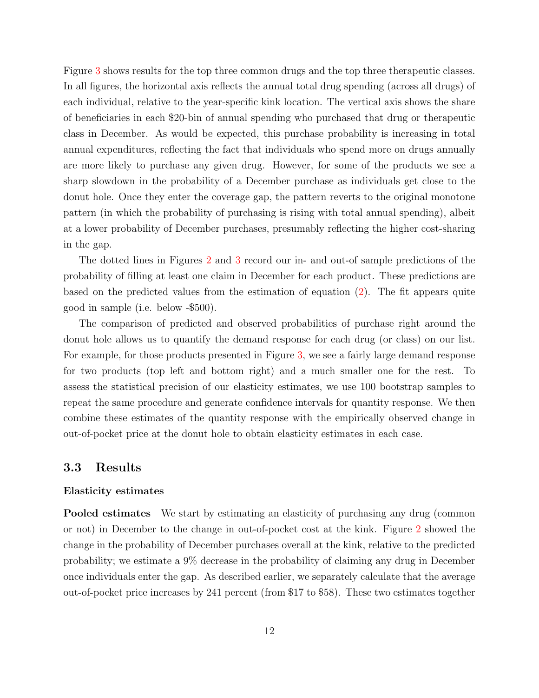Figure [3](#page-35-0) shows results for the top three common drugs and the top three therapeutic classes. In all figures, the horizontal axis reflects the annual total drug spending (across all drugs) of each individual, relative to the year-specific kink location. The vertical axis shows the share of beneficiaries in each \$20-bin of annual spending who purchased that drug or therapeutic class in December. As would be expected, this purchase probability is increasing in total annual expenditures, reflecting the fact that individuals who spend more on drugs annually are more likely to purchase any given drug. However, for some of the products we see a sharp slowdown in the probability of a December purchase as individuals get close to the donut hole. Once they enter the coverage gap, the pattern reverts to the original monotone pattern (in which the probability of purchasing is rising with total annual spending), albeit at a lower probability of December purchases, presumably reflecting the higher cost-sharing in the gap.

The dotted lines in Figures [2](#page-34-0) and [3](#page-35-0) record our in- and out-of sample predictions of the probability of filling at least one claim in December for each product. These predictions are based on the predicted values from the estimation of equation [\(2\)](#page-11-0). The fit appears quite good in sample (i.e. below -\$500).

The comparison of predicted and observed probabilities of purchase right around the donut hole allows us to quantify the demand response for each drug (or class) on our list. For example, for those products presented in Figure [3,](#page-35-0) we see a fairly large demand response for two products (top left and bottom right) and a much smaller one for the rest. To assess the statistical precision of our elasticity estimates, we use 100 bootstrap samples to repeat the same procedure and generate confidence intervals for quantity response. We then combine these estimates of the quantity response with the empirically observed change in out-of-pocket price at the donut hole to obtain elasticity estimates in each case.

### 3.3 Results

#### Elasticity estimates

Pooled estimates We start by estimating an elasticity of purchasing any drug (common or not) in December to the change in out-of-pocket cost at the kink. Figure [2](#page-34-0) showed the change in the probability of December purchases overall at the kink, relative to the predicted probability; we estimate a 9% decrease in the probability of claiming any drug in December once individuals enter the gap. As described earlier, we separately calculate that the average out-of-pocket price increases by 241 percent (from \$17 to \$58). These two estimates together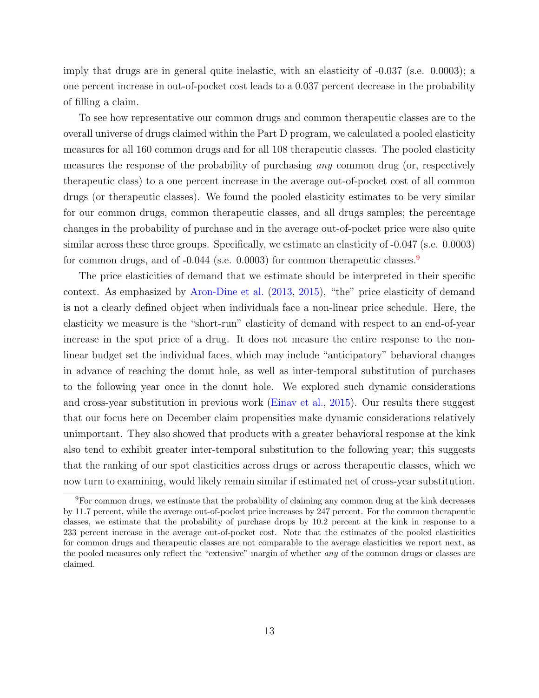imply that drugs are in general quite inelastic, with an elasticity of -0.037 (s.e. 0.0003); a one percent increase in out-of-pocket cost leads to a 0.037 percent decrease in the probability of filling a claim.

To see how representative our common drugs and common therapeutic classes are to the overall universe of drugs claimed within the Part D program, we calculated a pooled elasticity measures for all 160 common drugs and for all 108 therapeutic classes. The pooled elasticity measures the response of the probability of purchasing any common drug (or, respectively therapeutic class) to a one percent increase in the average out-of-pocket cost of all common drugs (or therapeutic classes). We found the pooled elasticity estimates to be very similar for our common drugs, common therapeutic classes, and all drugs samples; the percentage changes in the probability of purchase and in the average out-of-pocket price were also quite similar across these three groups. Specifically, we estimate an elasticity of -0.047 (s.e. 0.0003) for common drugs, and of  $-0.044$  (s.e. 0.0003) for common therapeutic classes.

The price elasticities of demand that we estimate should be interpreted in their specific context. As emphasized by [Aron-Dine et al.](#page-29-7) [\(2013,](#page-29-7) [2015\)](#page-29-6), "the" price elasticity of demand is not a clearly defined object when individuals face a non-linear price schedule. Here, the elasticity we measure is the "short-run" elasticity of demand with respect to an end-of-year increase in the spot price of a drug. It does not measure the entire response to the nonlinear budget set the individual faces, which may include "anticipatory" behavioral changes in advance of reaching the donut hole, as well as inter-temporal substitution of purchases to the following year once in the donut hole. We explored such dynamic considerations and cross-year substitution in previous work [\(Einav et al.,](#page-31-9) [2015\)](#page-31-9). Our results there suggest that our focus here on December claim propensities make dynamic considerations relatively unimportant. They also showed that products with a greater behavioral response at the kink also tend to exhibit greater inter-temporal substitution to the following year; this suggests that the ranking of our spot elasticities across drugs or across therapeutic classes, which we now turn to examining, would likely remain similar if estimated net of cross-year substitution.

<span id="page-13-0"></span><sup>9</sup>For common drugs, we estimate that the probability of claiming any common drug at the kink decreases by 11.7 percent, while the average out-of-pocket price increases by 247 percent. For the common therapeutic classes, we estimate that the probability of purchase drops by 10.2 percent at the kink in response to a 233 percent increase in the average out-of-pocket cost. Note that the estimates of the pooled elasticities for common drugs and therapeutic classes are not comparable to the average elasticities we report next, as the pooled measures only reflect the "extensive" margin of whether any of the common drugs or classes are claimed.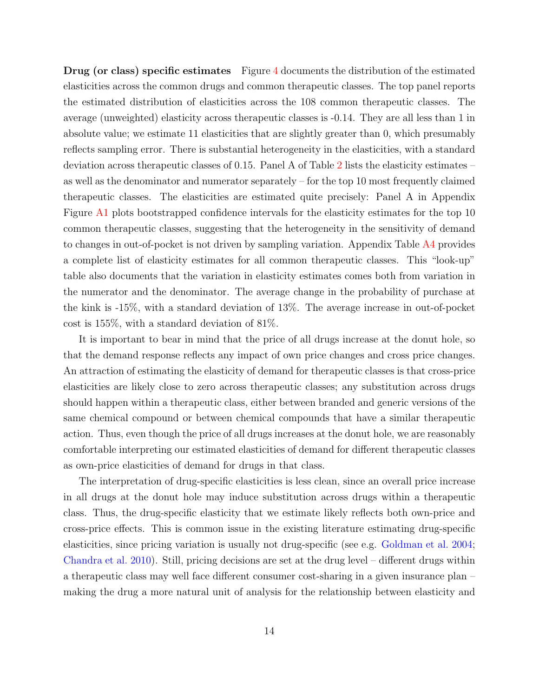Drug (or class) specific estimates Figure [4](#page-36-0) documents the distribution of the estimated elasticities across the common drugs and common therapeutic classes. The top panel reports the estimated distribution of elasticities across the 108 common therapeutic classes. The average (unweighted) elasticity across therapeutic classes is -0.14. They are all less than 1 in absolute value; we estimate 11 elasticities that are slightly greater than 0, which presumably reflects sampling error. There is substantial heterogeneity in the elasticities, with a standard deviation across therapeutic classes of 0.15. Panel A of Table [2](#page-40-0) lists the elasticity estimates – as well as the denominator and numerator separately – for the top 10 most frequently claimed therapeutic classes. The elasticities are estimated quite precisely: Panel A in Appendix Figure A1 plots bootstrapped confidence intervals for the elasticity estimates for the top 10 common therapeutic classes, suggesting that the heterogeneity in the sensitivity of demand to changes in out-of-pocket is not driven by sampling variation. Appendix Table A4 provides a complete list of elasticity estimates for all common therapeutic classes. This "look-up" table also documents that the variation in elasticity estimates comes both from variation in the numerator and the denominator. The average change in the probability of purchase at the kink is -15%, with a standard deviation of 13%. The average increase in out-of-pocket cost is 155%, with a standard deviation of 81%.

It is important to bear in mind that the price of all drugs increase at the donut hole, so that the demand response reflects any impact of own price changes and cross price changes. An attraction of estimating the elasticity of demand for therapeutic classes is that cross-price elasticities are likely close to zero across therapeutic classes; any substitution across drugs should happen within a therapeutic class, either between branded and generic versions of the same chemical compound or between chemical compounds that have a similar therapeutic action. Thus, even though the price of all drugs increases at the donut hole, we are reasonably comfortable interpreting our estimated elasticities of demand for different therapeutic classes as own-price elasticities of demand for drugs in that class.

The interpretation of drug-specific elasticities is less clean, since an overall price increase in all drugs at the donut hole may induce substitution across drugs within a therapeutic class. Thus, the drug-specific elasticity that we estimate likely reflects both own-price and cross-price effects. This is common issue in the existing literature estimating drug-specific elasticities, since pricing variation is usually not drug-specific (see e.g. [Goldman et al. 2004;](#page-31-8) [Chandra et al. 2010\)](#page-30-10). Still, pricing decisions are set at the drug level – different drugs within a therapeutic class may well face different consumer cost-sharing in a given insurance plan – making the drug a more natural unit of analysis for the relationship between elasticity and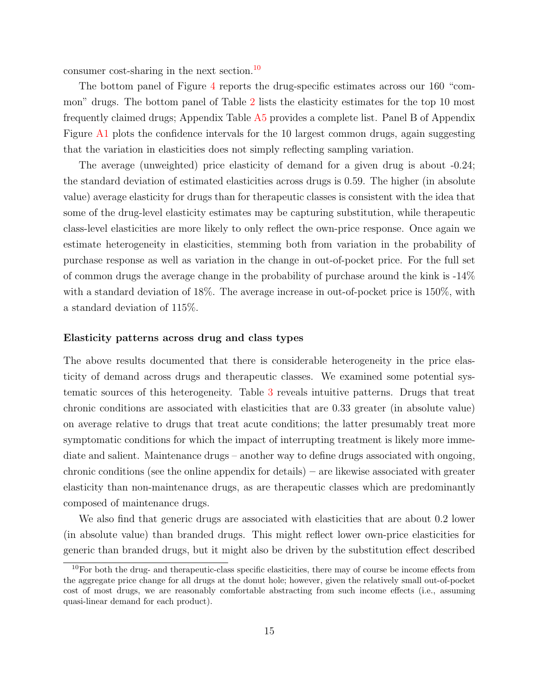consumer cost-sharing in the next section.<sup>[10](#page-15-0)</sup>

The bottom panel of Figure [4](#page-36-0) reports the drug-specific estimates across our 160 "common" drugs. The bottom panel of Table [2](#page-40-0) lists the elasticity estimates for the top 10 most frequently claimed drugs; Appendix Table A5 provides a complete list. Panel B of Appendix Figure A1 plots the confidence intervals for the 10 largest common drugs, again suggesting that the variation in elasticities does not simply reflecting sampling variation.

The average (unweighted) price elasticity of demand for a given drug is about -0.24; the standard deviation of estimated elasticities across drugs is 0.59. The higher (in absolute value) average elasticity for drugs than for therapeutic classes is consistent with the idea that some of the drug-level elasticity estimates may be capturing substitution, while therapeutic class-level elasticities are more likely to only reflect the own-price response. Once again we estimate heterogeneity in elasticities, stemming both from variation in the probability of purchase response as well as variation in the change in out-of-pocket price. For the full set of common drugs the average change in the probability of purchase around the kink is -14% with a standard deviation of 18%. The average increase in out-of-pocket price is 150%, with a standard deviation of 115%.

#### Elasticity patterns across drug and class types

The above results documented that there is considerable heterogeneity in the price elasticity of demand across drugs and therapeutic classes. We examined some potential systematic sources of this heterogeneity. Table [3](#page-41-0) reveals intuitive patterns. Drugs that treat chronic conditions are associated with elasticities that are 0.33 greater (in absolute value) on average relative to drugs that treat acute conditions; the latter presumably treat more symptomatic conditions for which the impact of interrupting treatment is likely more immediate and salient. Maintenance drugs – another way to define drugs associated with ongoing, chronic conditions (see the online appendix for details) – are likewise associated with greater elasticity than non-maintenance drugs, as are therapeutic classes which are predominantly composed of maintenance drugs.

We also find that generic drugs are associated with elasticities that are about 0.2 lower (in absolute value) than branded drugs. This might reflect lower own-price elasticities for generic than branded drugs, but it might also be driven by the substitution effect described

<span id="page-15-0"></span> $10$ For both the drug- and therapeutic-class specific elasticities, there may of course be income effects from the aggregate price change for all drugs at the donut hole; however, given the relatively small out-of-pocket cost of most drugs, we are reasonably comfortable abstracting from such income effects (i.e., assuming quasi-linear demand for each product).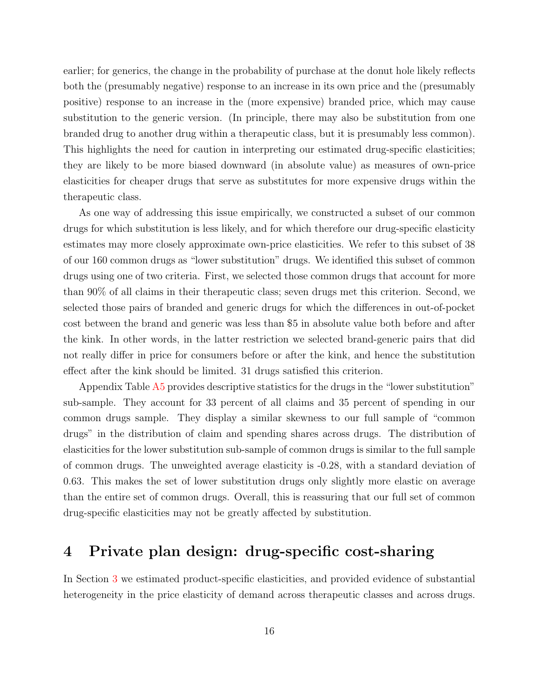earlier; for generics, the change in the probability of purchase at the donut hole likely reflects both the (presumably negative) response to an increase in its own price and the (presumably positive) response to an increase in the (more expensive) branded price, which may cause substitution to the generic version. (In principle, there may also be substitution from one branded drug to another drug within a therapeutic class, but it is presumably less common). This highlights the need for caution in interpreting our estimated drug-specific elasticities; they are likely to be more biased downward (in absolute value) as measures of own-price elasticities for cheaper drugs that serve as substitutes for more expensive drugs within the therapeutic class.

As one way of addressing this issue empirically, we constructed a subset of our common drugs for which substitution is less likely, and for which therefore our drug-specific elasticity estimates may more closely approximate own-price elasticities. We refer to this subset of 38 of our 160 common drugs as "lower substitution" drugs. We identified this subset of common drugs using one of two criteria. First, we selected those common drugs that account for more than 90% of all claims in their therapeutic class; seven drugs met this criterion. Second, we selected those pairs of branded and generic drugs for which the differences in out-of-pocket cost between the brand and generic was less than \$5 in absolute value both before and after the kink. In other words, in the latter restriction we selected brand-generic pairs that did not really differ in price for consumers before or after the kink, and hence the substitution effect after the kink should be limited. 31 drugs satisfied this criterion.

Appendix Table A5 provides descriptive statistics for the drugs in the "lower substitution" sub-sample. They account for 33 percent of all claims and 35 percent of spending in our common drugs sample. They display a similar skewness to our full sample of "common drugs" in the distribution of claim and spending shares across drugs. The distribution of elasticities for the lower substitution sub-sample of common drugs is similar to the full sample of common drugs. The unweighted average elasticity is -0.28, with a standard deviation of 0.63. This makes the set of lower substitution drugs only slightly more elastic on average than the entire set of common drugs. Overall, this is reassuring that our full set of common drug-specific elasticities may not be greatly affected by substitution.

# <span id="page-16-0"></span>4 Private plan design: drug-specific cost-sharing

In Section [3](#page-7-0) we estimated product-specific elasticities, and provided evidence of substantial heterogeneity in the price elasticity of demand across therapeutic classes and across drugs.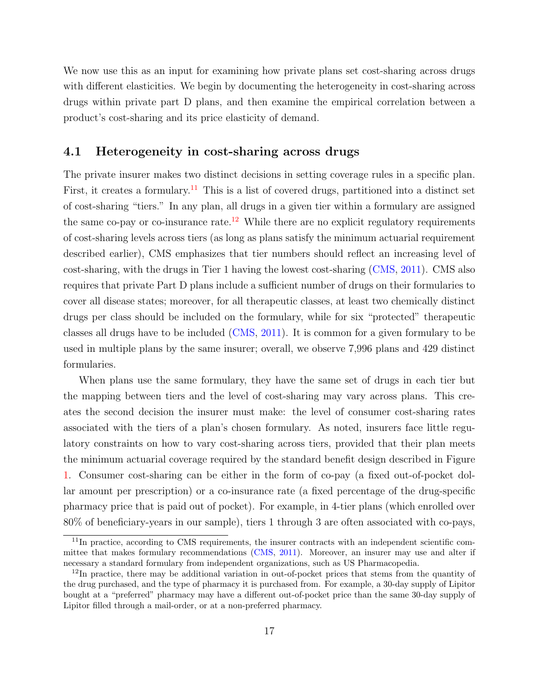We now use this as an input for examining how private plans set cost-sharing across drugs with different elasticities. We begin by documenting the heterogeneity in cost-sharing across drugs within private part D plans, and then examine the empirical correlation between a product's cost-sharing and its price elasticity of demand.

## 4.1 Heterogeneity in cost-sharing across drugs

The private insurer makes two distinct decisions in setting coverage rules in a specific plan. First, it creates a formulary.<sup>[11](#page-17-0)</sup> This is a list of covered drugs, partitioned into a distinct set of cost-sharing "tiers." In any plan, all drugs in a given tier within a formulary are assigned the same co-pay or co-insurance rate.<sup>[12](#page-17-1)</sup> While there are no explicit regulatory requirements of cost-sharing levels across tiers (as long as plans satisfy the minimum actuarial requirement described earlier), CMS emphasizes that tier numbers should reflect an increasing level of cost-sharing, with the drugs in Tier 1 having the lowest cost-sharing [\(CMS,](#page-30-12) [2011\)](#page-30-12). CMS also requires that private Part D plans include a sufficient number of drugs on their formularies to cover all disease states; moreover, for all therapeutic classes, at least two chemically distinct drugs per class should be included on the formulary, while for six "protected" therapeutic classes all drugs have to be included [\(CMS,](#page-30-12) [2011\)](#page-30-12). It is common for a given formulary to be used in multiple plans by the same insurer; overall, we observe 7,996 plans and 429 distinct formularies.

When plans use the same formulary, they have the same set of drugs in each tier but the mapping between tiers and the level of cost-sharing may vary across plans. This creates the second decision the insurer must make: the level of consumer cost-sharing rates associated with the tiers of a plan's chosen formulary. As noted, insurers face little regulatory constraints on how to vary cost-sharing across tiers, provided that their plan meets the minimum actuarial coverage required by the standard benefit design described in Figure [1.](#page-33-0) Consumer cost-sharing can be either in the form of co-pay (a fixed out-of-pocket dollar amount per prescription) or a co-insurance rate (a fixed percentage of the drug-specific pharmacy price that is paid out of pocket). For example, in 4-tier plans (which enrolled over 80% of beneficiary-years in our sample), tiers 1 through 3 are often associated with co-pays,

<span id="page-17-0"></span><sup>&</sup>lt;sup>11</sup>In practice, according to CMS requirements, the insurer contracts with an independent scientific committee that makes formulary recommendations [\(CMS,](#page-30-12) [2011\)](#page-30-12). Moreover, an insurer may use and alter if necessary a standard formulary from independent organizations, such as US Pharmacopedia.

<span id="page-17-1"></span> $12$ In practice, there may be additional variation in out-of-pocket prices that stems from the quantity of the drug purchased, and the type of pharmacy it is purchased from. For example, a 30-day supply of Lipitor bought at a "preferred" pharmacy may have a different out-of-pocket price than the same 30-day supply of Lipitor filled through a mail-order, or at a non-preferred pharmacy.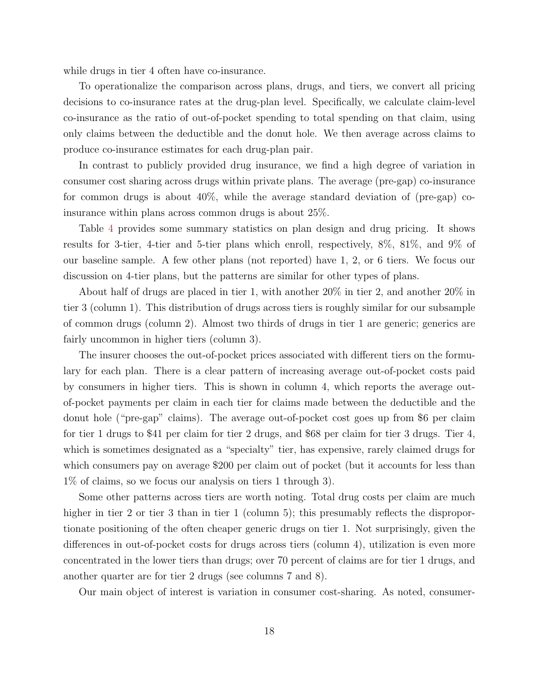while drugs in tier 4 often have co-insurance.

To operationalize the comparison across plans, drugs, and tiers, we convert all pricing decisions to co-insurance rates at the drug-plan level. Specifically, we calculate claim-level co-insurance as the ratio of out-of-pocket spending to total spending on that claim, using only claims between the deductible and the donut hole. We then average across claims to produce co-insurance estimates for each drug-plan pair.

In contrast to publicly provided drug insurance, we find a high degree of variation in consumer cost sharing across drugs within private plans. The average (pre-gap) co-insurance for common drugs is about 40%, while the average standard deviation of (pre-gap) coinsurance within plans across common drugs is about 25%.

Table [4](#page-42-0) provides some summary statistics on plan design and drug pricing. It shows results for 3-tier, 4-tier and 5-tier plans which enroll, respectively, 8%, 81%, and 9% of our baseline sample. A few other plans (not reported) have 1, 2, or 6 tiers. We focus our discussion on 4-tier plans, but the patterns are similar for other types of plans.

About half of drugs are placed in tier 1, with another 20% in tier 2, and another 20% in tier 3 (column 1). This distribution of drugs across tiers is roughly similar for our subsample of common drugs (column 2). Almost two thirds of drugs in tier 1 are generic; generics are fairly uncommon in higher tiers (column 3).

The insurer chooses the out-of-pocket prices associated with different tiers on the formulary for each plan. There is a clear pattern of increasing average out-of-pocket costs paid by consumers in higher tiers. This is shown in column 4, which reports the average outof-pocket payments per claim in each tier for claims made between the deductible and the donut hole ("pre-gap" claims). The average out-of-pocket cost goes up from \$6 per claim for tier 1 drugs to \$41 per claim for tier 2 drugs, and \$68 per claim for tier 3 drugs. Tier 4, which is sometimes designated as a "specialty" tier, has expensive, rarely claimed drugs for which consumers pay on average \$200 per claim out of pocket (but it accounts for less than 1% of claims, so we focus our analysis on tiers 1 through 3).

Some other patterns across tiers are worth noting. Total drug costs per claim are much higher in tier 2 or tier 3 than in tier 1 (column 5); this presumably reflects the disproportionate positioning of the often cheaper generic drugs on tier 1. Not surprisingly, given the differences in out-of-pocket costs for drugs across tiers (column 4), utilization is even more concentrated in the lower tiers than drugs; over 70 percent of claims are for tier 1 drugs, and another quarter are for tier 2 drugs (see columns 7 and 8).

Our main object of interest is variation in consumer cost-sharing. As noted, consumer-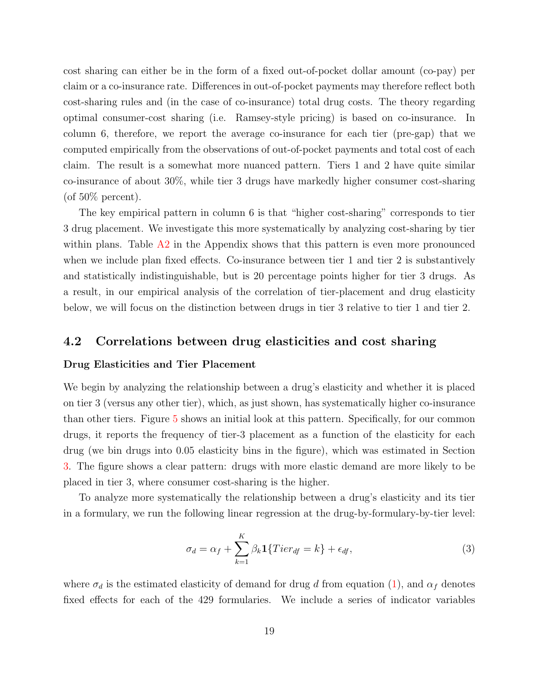cost sharing can either be in the form of a fixed out-of-pocket dollar amount (co-pay) per claim or a co-insurance rate. Differences in out-of-pocket payments may therefore reflect both cost-sharing rules and (in the case of co-insurance) total drug costs. The theory regarding optimal consumer-cost sharing (i.e. Ramsey-style pricing) is based on co-insurance. In column 6, therefore, we report the average co-insurance for each tier (pre-gap) that we computed empirically from the observations of out-of-pocket payments and total cost of each claim. The result is a somewhat more nuanced pattern. Tiers 1 and 2 have quite similar co-insurance of about 30%, while tier 3 drugs have markedly higher consumer cost-sharing (of  $50\%$  percent).

The key empirical pattern in column 6 is that "higher cost-sharing" corresponds to tier 3 drug placement. We investigate this more systematically by analyzing cost-sharing by tier within plans. Table A2 in the Appendix shows that this pattern is even more pronounced when we include plan fixed effects. Co-insurance between tier 1 and tier 2 is substantively and statistically indistinguishable, but is 20 percentage points higher for tier 3 drugs. As a result, in our empirical analysis of the correlation of tier-placement and drug elasticity below, we will focus on the distinction between drugs in tier 3 relative to tier 1 and tier 2.

## <span id="page-19-0"></span>4.2 Correlations between drug elasticities and cost sharing

#### Drug Elasticities and Tier Placement

We begin by analyzing the relationship between a drug's elasticity and whether it is placed on tier 3 (versus any other tier), which, as just shown, has systematically higher co-insurance than other tiers. Figure [5](#page-37-0) shows an initial look at this pattern. Specifically, for our common drugs, it reports the frequency of tier-3 placement as a function of the elasticity for each drug (we bin drugs into 0.05 elasticity bins in the figure), which was estimated in Section [3.](#page-7-0) The figure shows a clear pattern: drugs with more elastic demand are more likely to be placed in tier 3, where consumer cost-sharing is the higher.

To analyze more systematically the relationship between a drug's elasticity and its tier in a formulary, we run the following linear regression at the drug-by-formulary-by-tier level:

$$
\sigma_d = \alpha_f + \sum_{k=1}^{K} \beta_k \mathbf{1} \{Tier_{df} = k\} + \epsilon_{df},\tag{3}
$$

where  $\sigma_d$  is the estimated elasticity of demand for drug d from equation [\(1\)](#page-10-1), and  $\alpha_f$  denotes fixed effects for each of the 429 formularies. We include a series of indicator variables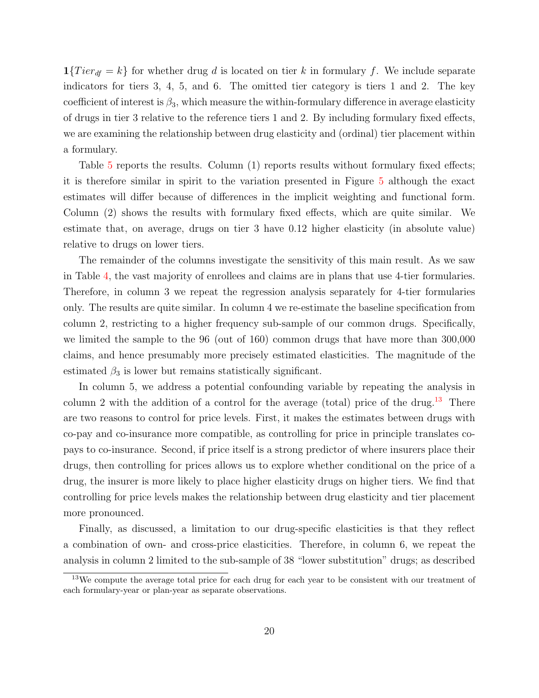$1\{Tier_{df} = k\}$  for whether drug d is located on tier k in formulary f. We include separate indicators for tiers 3, 4, 5, and 6. The omitted tier category is tiers 1 and 2. The key coefficient of interest is  $\beta_3$ , which measure the within-formulary difference in average elasticity of drugs in tier 3 relative to the reference tiers 1 and 2. By including formulary fixed effects, we are examining the relationship between drug elasticity and (ordinal) tier placement within a formulary.

Table [5](#page-43-0) reports the results. Column (1) reports results without formulary fixed effects; it is therefore similar in spirit to the variation presented in Figure [5](#page-37-0) although the exact estimates will differ because of differences in the implicit weighting and functional form. Column (2) shows the results with formulary fixed effects, which are quite similar. We estimate that, on average, drugs on tier 3 have 0.12 higher elasticity (in absolute value) relative to drugs on lower tiers.

The remainder of the columns investigate the sensitivity of this main result. As we saw in Table [4,](#page-42-0) the vast majority of enrollees and claims are in plans that use 4-tier formularies. Therefore, in column 3 we repeat the regression analysis separately for 4-tier formularies only. The results are quite similar. In column 4 we re-estimate the baseline specification from column 2, restricting to a higher frequency sub-sample of our common drugs. Specifically, we limited the sample to the 96 (out of 160) common drugs that have more than 300,000 claims, and hence presumably more precisely estimated elasticities. The magnitude of the estimated  $\beta_3$  is lower but remains statistically significant.

In column 5, we address a potential confounding variable by repeating the analysis in column 2 with the addition of a control for the average (total) price of the drug.<sup>[13](#page-20-0)</sup> There are two reasons to control for price levels. First, it makes the estimates between drugs with co-pay and co-insurance more compatible, as controlling for price in principle translates copays to co-insurance. Second, if price itself is a strong predictor of where insurers place their drugs, then controlling for prices allows us to explore whether conditional on the price of a drug, the insurer is more likely to place higher elasticity drugs on higher tiers. We find that controlling for price levels makes the relationship between drug elasticity and tier placement more pronounced.

Finally, as discussed, a limitation to our drug-specific elasticities is that they reflect a combination of own- and cross-price elasticities. Therefore, in column 6, we repeat the analysis in column 2 limited to the sub-sample of 38 "lower substitution" drugs; as described

<span id="page-20-0"></span><sup>13</sup>We compute the average total price for each drug for each year to be consistent with our treatment of each formulary-year or plan-year as separate observations.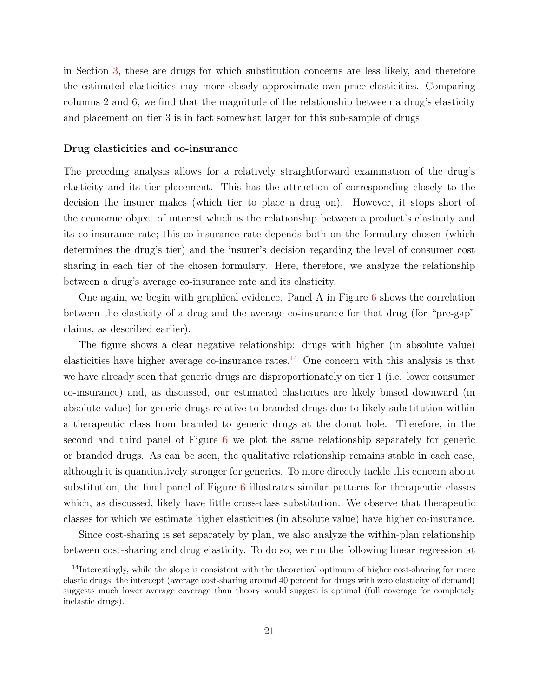in Section [3,](#page-7-0) these are drugs for which substitution concerns are less likely, and therefore the estimated elasticities may more closely approximate own-price elasticities. Comparing columns 2 and 6, we find that the magnitude of the relationship between a drug's elasticity and placement on tier 3 is in fact somewhat larger for this sub-sample of drugs.

#### Drug elasticities and co-insurance

The preceding analysis allows for a relatively straightforward examination of the drug's elasticity and its tier placement. This has the attraction of corresponding closely to the decision the insurer makes (which tier to place a drug on). However, it stops short of the economic object of interest which is the relationship between a product's elasticity and its co-insurance rate; this co-insurance rate depends both on the formulary chosen (which determines the drug's tier) and the insurer's decision regarding the level of consumer cost sharing in each tier of the chosen formulary. Here, therefore, we analyze the relationship between a drug's average co-insurance rate and its elasticity.

One again, we begin with graphical evidence. Panel A in Figure  $6$  shows the correlation between the elasticity of a drug and the average co-insurance for that drug (for "pre-gap" claims, as described earlier).

The figure shows a clear negative relationship: drugs with higher (in absolute value) elasticities have higher average co-insurance rates.<sup>[14](#page-21-0)</sup> One concern with this analysis is that we have already seen that generic drugs are disproportionately on tier 1 (i.e. lower consumer co-insurance) and, as discussed, our estimated elasticities are likely biased downward (in absolute value) for generic drugs relative to branded drugs due to likely substitution within a therapeutic class from branded to generic drugs at the donut hole. Therefore, in the second and third panel of Figure [6](#page-38-0) we plot the same relationship separately for generic or branded drugs. As can be seen, the qualitative relationship remains stable in each case, although it is quantitatively stronger for generics. To more directly tackle this concern about substitution, the final panel of Figure [6](#page-38-0) illustrates similar patterns for therapeutic classes which, as discussed, likely have little cross-class substitution. We observe that therapeutic classes for which we estimate higher elasticities (in absolute value) have higher co-insurance.

Since cost-sharing is set separately by plan, we also analyze the within-plan relationship between cost-sharing and drug elasticity. To do so, we run the following linear regression at

<span id="page-21-0"></span><sup>&</sup>lt;sup>14</sup>Interestingly, while the slope is consistent with the theoretical optimum of higher cost-sharing for more elastic drugs, the intercept (average cost-sharing around 40 percent for drugs with zero elasticity of demand) suggests much lower average coverage than theory would suggest is optimal (full coverage for completely inelastic drugs).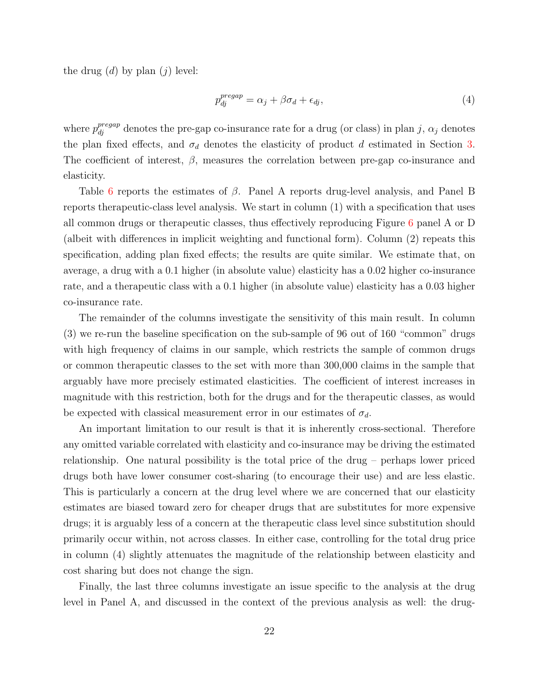the drug  $(d)$  by plan  $(j)$  level:

$$
p_{dj}^{pregap} = \alpha_j + \beta \sigma_d + \epsilon_{dj},\tag{4}
$$

where  $p_{dj}^{pregap}$  denotes the pre-gap co-insurance rate for a drug (or class) in plan j,  $\alpha_j$  denotes the plan fixed effects, and  $\sigma_d$  denotes the elasticity of product d estimated in Section [3.](#page-7-0) The coefficient of interest,  $\beta$ , measures the correlation between pre-gap co-insurance and elasticity.

Table [6](#page-44-0) reports the estimates of  $\beta$ . Panel A reports drug-level analysis, and Panel B reports therapeutic-class level analysis. We start in column (1) with a specification that uses all common drugs or therapeutic classes, thus effectively reproducing Figure [6](#page-38-0) panel A or D (albeit with differences in implicit weighting and functional form). Column (2) repeats this specification, adding plan fixed effects; the results are quite similar. We estimate that, on average, a drug with a 0.1 higher (in absolute value) elasticity has a 0.02 higher co-insurance rate, and a therapeutic class with a 0.1 higher (in absolute value) elasticity has a 0.03 higher co-insurance rate.

The remainder of the columns investigate the sensitivity of this main result. In column (3) we re-run the baseline specification on the sub-sample of 96 out of 160 "common" drugs with high frequency of claims in our sample, which restricts the sample of common drugs or common therapeutic classes to the set with more than 300,000 claims in the sample that arguably have more precisely estimated elasticities. The coefficient of interest increases in magnitude with this restriction, both for the drugs and for the therapeutic classes, as would be expected with classical measurement error in our estimates of  $\sigma_d$ .

An important limitation to our result is that it is inherently cross-sectional. Therefore any omitted variable correlated with elasticity and co-insurance may be driving the estimated relationship. One natural possibility is the total price of the drug – perhaps lower priced drugs both have lower consumer cost-sharing (to encourage their use) and are less elastic. This is particularly a concern at the drug level where we are concerned that our elasticity estimates are biased toward zero for cheaper drugs that are substitutes for more expensive drugs; it is arguably less of a concern at the therapeutic class level since substitution should primarily occur within, not across classes. In either case, controlling for the total drug price in column (4) slightly attenuates the magnitude of the relationship between elasticity and cost sharing but does not change the sign.

Finally, the last three columns investigate an issue specific to the analysis at the drug level in Panel A, and discussed in the context of the previous analysis as well: the drug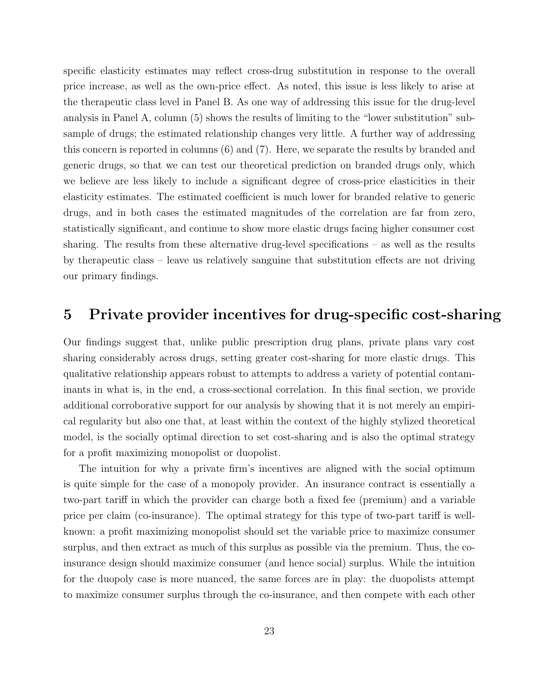specific elasticity estimates may reflect cross-drug substitution in response to the overall price increase, as well as the own-price effect. As noted, this issue is less likely to arise at the therapeutic class level in Panel B. As one way of addressing this issue for the drug-level analysis in Panel A, column (5) shows the results of limiting to the "lower substitution" subsample of drugs; the estimated relationship changes very little. A further way of addressing this concern is reported in columns (6) and (7). Here, we separate the results by branded and generic drugs, so that we can test our theoretical prediction on branded drugs only, which we believe are less likely to include a significant degree of cross-price elasticities in their elasticity estimates. The estimated coefficient is much lower for branded relative to generic drugs, and in both cases the estimated magnitudes of the correlation are far from zero, statistically significant, and continue to show more elastic drugs facing higher consumer cost sharing. The results from these alternative drug-level specifications – as well as the results by therapeutic class – leave us relatively sanguine that substitution effects are not driving our primary findings.

## <span id="page-23-0"></span>5 Private provider incentives for drug-specific cost-sharing

Our findings suggest that, unlike public prescription drug plans, private plans vary cost sharing considerably across drugs, setting greater cost-sharing for more elastic drugs. This qualitative relationship appears robust to attempts to address a variety of potential contaminants in what is, in the end, a cross-sectional correlation. In this final section, we provide additional corroborative support for our analysis by showing that it is not merely an empirical regularity but also one that, at least within the context of the highly stylized theoretical model, is the socially optimal direction to set cost-sharing and is also the optimal strategy for a profit maximizing monopolist or duopolist.

The intuition for why a private firm's incentives are aligned with the social optimum is quite simple for the case of a monopoly provider. An insurance contract is essentially a two-part tariff in which the provider can charge both a fixed fee (premium) and a variable price per claim (co-insurance). The optimal strategy for this type of two-part tariff is wellknown: a profit maximizing monopolist should set the variable price to maximize consumer surplus, and then extract as much of this surplus as possible via the premium. Thus, the coinsurance design should maximize consumer (and hence social) surplus. While the intuition for the duopoly case is more nuanced, the same forces are in play: the duopolists attempt to maximize consumer surplus through the co-insurance, and then compete with each other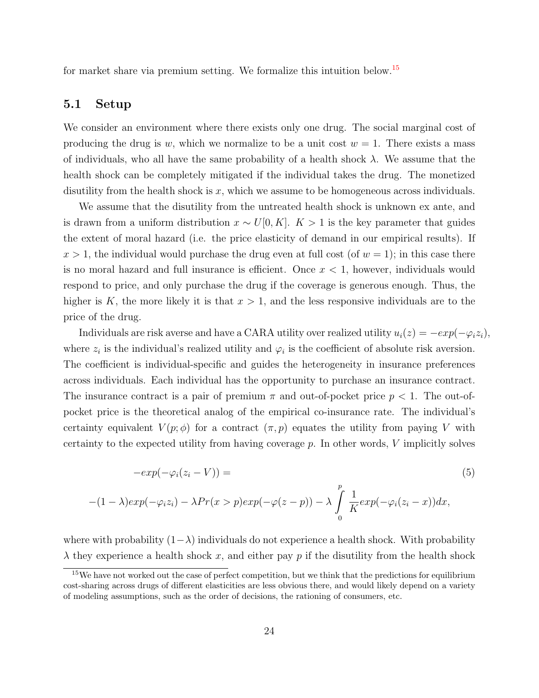for market share via premium setting. We formalize this intuition below.[15](#page-24-0)

### 5.1 Setup

We consider an environment where there exists only one drug. The social marginal cost of producing the drug is w, which we normalize to be a unit cost  $w = 1$ . There exists a mass of individuals, who all have the same probability of a health shock  $\lambda$ . We assume that the health shock can be completely mitigated if the individual takes the drug. The monetized disutility from the health shock is  $x$ , which we assume to be homogeneous across individuals.

We assume that the disutility from the untreated health shock is unknown ex ante, and is drawn from a uniform distribution  $x \sim U[0, K]$ . K > 1 is the key parameter that guides the extent of moral hazard (i.e. the price elasticity of demand in our empirical results). If  $x > 1$ , the individual would purchase the drug even at full cost (of  $w = 1$ ); in this case there is no moral hazard and full insurance is efficient. Once  $x < 1$ , however, individuals would respond to price, and only purchase the drug if the coverage is generous enough. Thus, the higher is K, the more likely it is that  $x > 1$ , and the less responsive individuals are to the price of the drug.

Individuals are risk averse and have a CARA utility over realized utility  $u_i(z) = -exp(-\varphi_i z_i)$ , where  $z_i$  is the individual's realized utility and  $\varphi_i$  is the coefficient of absolute risk aversion. The coefficient is individual-specific and guides the heterogeneity in insurance preferences across individuals. Each individual has the opportunity to purchase an insurance contract. The insurance contract is a pair of premium  $\pi$  and out-of-pocket price  $p < 1$ . The out-ofpocket price is the theoretical analog of the empirical co-insurance rate. The individual's certainty equivalent  $V(p;\phi)$  for a contract  $(\pi, p)$  equates the utility from paying V with certainty to the expected utility from having coverage  $p$ . In other words, V implicitly solves

$$
-exp(-\varphi_i(z_i - V)) =
$$
\n
$$
-(1 - \lambda)exp(-\varphi_i z_i) - \lambda Pr(x > p)exp(-\varphi(z - p)) - \lambda \int_0^p \frac{1}{K} exp(-\varphi_i(z_i - x)) dx,
$$
\n(5)

where with probability  $(1-\lambda)$  individuals do not experience a health shock. With probability  $\lambda$  they experience a health shock x, and either pay p if the disutility from the health shock

<span id="page-24-0"></span><sup>&</sup>lt;sup>15</sup>We have not worked out the case of perfect competition, but we think that the predictions for equilibrium cost-sharing across drugs of different elasticities are less obvious there, and would likely depend on a variety of modeling assumptions, such as the order of decisions, the rationing of consumers, etc.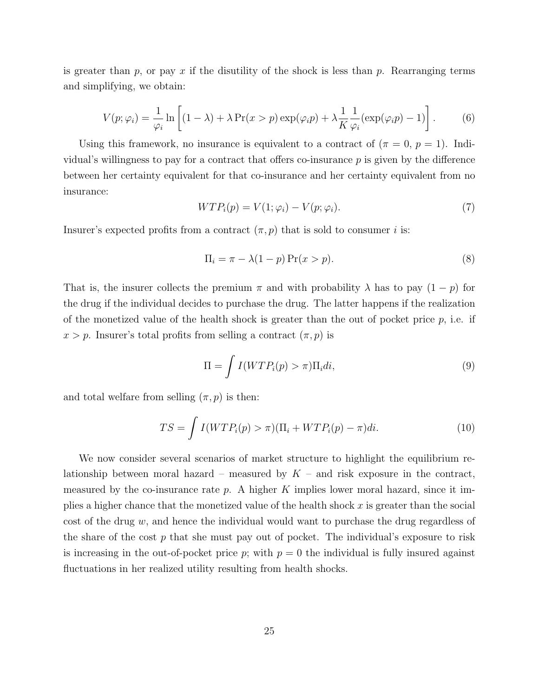is greater than p, or pay x if the disutility of the shock is less than p. Rearranging terms and simplifying, we obtain:

$$
V(p; \varphi_i) = \frac{1}{\varphi_i} \ln \left[ (1 - \lambda) + \lambda \Pr(x > p) \exp(\varphi_i p) + \lambda \frac{1}{K} \frac{1}{\varphi_i} (\exp(\varphi_i p) - 1) \right]. \tag{6}
$$

Using this framework, no insurance is equivalent to a contract of  $(\pi = 0, p = 1)$ . Individual's willingness to pay for a contract that offers co-insurance  $p$  is given by the difference between her certainty equivalent for that co-insurance and her certainty equivalent from no insurance:

$$
WTP_i(p) = V(1; \varphi_i) - V(p; \varphi_i). \tag{7}
$$

Insurer's expected profits from a contract  $(\pi, p)$  that is sold to consumer i is:

$$
\Pi_i = \pi - \lambda (1 - p) \Pr(x > p). \tag{8}
$$

That is, the insurer collects the premium  $\pi$  and with probability  $\lambda$  has to pay  $(1 - p)$  for the drug if the individual decides to purchase the drug. The latter happens if the realization of the monetized value of the health shock is greater than the out of pocket price  $p$ , i.e. if  $x > p$ . Insurer's total profits from selling a contract  $(\pi, p)$  is

<span id="page-25-1"></span>
$$
\Pi = \int I(WTP_i(p) > \pi) \Pi_i di,
$$
\n(9)

and total welfare from selling  $(\pi, p)$  is then:

<span id="page-25-0"></span>
$$
TS = \int I(WTP_i(p) > \pi)(\Pi_i + WTP_i(p) - \pi)di.
$$
\n(10)

We now consider several scenarios of market structure to highlight the equilibrium relationship between moral hazard – measured by  $K$  – and risk exposure in the contract, measured by the co-insurance rate  $p$ . A higher K implies lower moral hazard, since it implies a higher chance that the monetized value of the health shock  $x$  is greater than the social cost of the drug  $w$ , and hence the individual would want to purchase the drug regardless of the share of the cost  $p$  that she must pay out of pocket. The individual's exposure to risk is increasing in the out-of-pocket price p; with  $p = 0$  the individual is fully insured against fluctuations in her realized utility resulting from health shocks.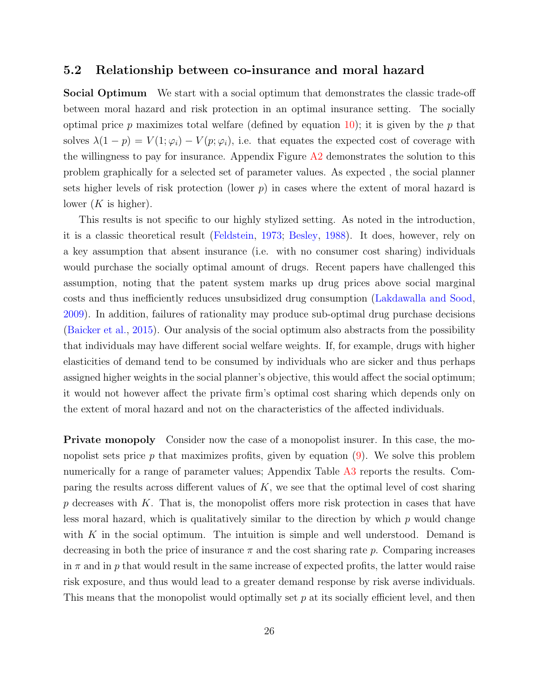## 5.2 Relationship between co-insurance and moral hazard

Social Optimum We start with a social optimum that demonstrates the classic trade-off between moral hazard and risk protection in an optimal insurance setting. The socially optimal price p maximizes total welfare (defined by equation [10\)](#page-25-0); it is given by the p that solves  $\lambda(1-p) = V(1;\varphi_i) - V(p;\varphi_i)$ , i.e. that equates the expected cost of coverage with the willingness to pay for insurance. Appendix Figure  $A2$  demonstrates the solution to this problem graphically for a selected set of parameter values. As expected , the social planner sets higher levels of risk protection (lower  $p$ ) in cases where the extent of moral hazard is lower  $(K$  is higher).

This results is not specific to our highly stylized setting. As noted in the introduction, it is a classic theoretical result [\(Feldstein,](#page-31-0) [1973;](#page-31-0) [Besley,](#page-29-0) [1988\)](#page-29-0). It does, however, rely on a key assumption that absent insurance (i.e. with no consumer cost sharing) individuals would purchase the socially optimal amount of drugs. Recent papers have challenged this assumption, noting that the patent system marks up drug prices above social marginal costs and thus inefficiently reduces unsubsidized drug consumption [\(Lakdawalla and Sood,](#page-32-7) [2009\)](#page-32-7). In addition, failures of rationality may produce sub-optimal drug purchase decisions [\(Baicker et al.,](#page-29-8) [2015\)](#page-29-8). Our analysis of the social optimum also abstracts from the possibility that individuals may have different social welfare weights. If, for example, drugs with higher elasticities of demand tend to be consumed by individuals who are sicker and thus perhaps assigned higher weights in the social planner's objective, this would affect the social optimum; it would not however affect the private firm's optimal cost sharing which depends only on the extent of moral hazard and not on the characteristics of the affected individuals.

Private monopoly Consider now the case of a monopolist insurer. In this case, the monopolist sets price  $p$  that maximizes profits, given by equation  $(9)$ . We solve this problem numerically for a range of parameter values; Appendix Table A3 reports the results. Comparing the results across different values of  $K$ , we see that the optimal level of cost sharing  $p$  decreases with  $K$ . That is, the monopolist offers more risk protection in cases that have less moral hazard, which is qualitatively similar to the direction by which  $p$  would change with  $K$  in the social optimum. The intuition is simple and well understood. Demand is decreasing in both the price of insurance  $\pi$  and the cost sharing rate p. Comparing increases in  $\pi$  and in p that would result in the same increase of expected profits, the latter would raise risk exposure, and thus would lead to a greater demand response by risk averse individuals. This means that the monopolist would optimally set  $p$  at its socially efficient level, and then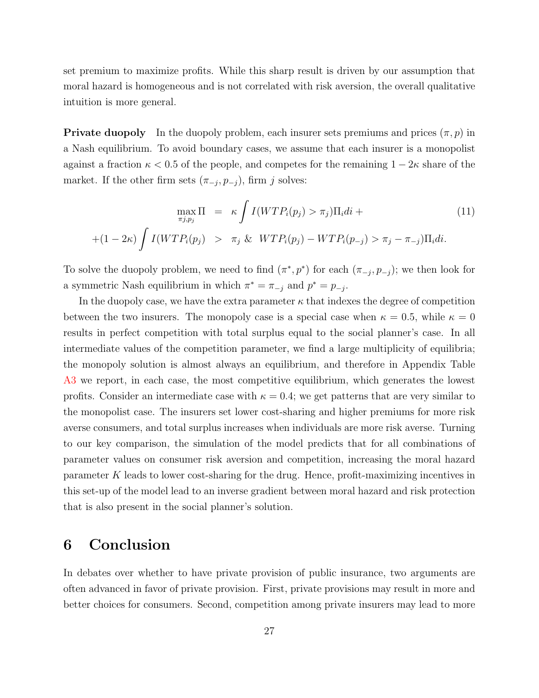set premium to maximize profits. While this sharp result is driven by our assumption that moral hazard is homogeneous and is not correlated with risk aversion, the overall qualitative intuition is more general.

**Private duopoly** In the duopoly problem, each insurer sets premiums and prices  $(\pi, p)$  in a Nash equilibrium. To avoid boundary cases, we assume that each insurer is a monopolist against a fraction  $\kappa < 0.5$  of the people, and competes for the remaining  $1 - 2\kappa$  share of the market. If the other firm sets  $(\pi_{-j}, p_{-j})$ , firm j solves:

$$
\max_{\pi j, p_j} \Pi = \kappa \int I(WTP_i(p_j) > \pi_j) \Pi_i di +
$$
  
+(1-2\kappa) 
$$
\int I(WTP_i(p_j) > \pi_j \& WTP_i(p_j) - WTP_i(p_{-j}) > \pi_j - \pi_{-j}) \Pi_i di.
$$
 (11)

To solve the duopoly problem, we need to find  $(\pi^*, p^*)$  for each  $(\pi_{-j}, p_{-j})$ ; we then look for a symmetric Nash equilibrium in which  $\pi^* = \pi_{-j}$  and  $p^* = p_{-j}$ .

In the duopoly case, we have the extra parameter  $\kappa$  that indexes the degree of competition between the two insurers. The monopoly case is a special case when  $\kappa = 0.5$ , while  $\kappa = 0$ results in perfect competition with total surplus equal to the social planner's case. In all intermediate values of the competition parameter, we find a large multiplicity of equilibria; the monopoly solution is almost always an equilibrium, and therefore in Appendix Table A3 we report, in each case, the most competitive equilibrium, which generates the lowest profits. Consider an intermediate case with  $\kappa = 0.4$ ; we get patterns that are very similar to the monopolist case. The insurers set lower cost-sharing and higher premiums for more risk averse consumers, and total surplus increases when individuals are more risk averse. Turning to our key comparison, the simulation of the model predicts that for all combinations of parameter values on consumer risk aversion and competition, increasing the moral hazard parameter K leads to lower cost-sharing for the drug. Hence, profit-maximizing incentives in this set-up of the model lead to an inverse gradient between moral hazard and risk protection that is also present in the social planner's solution.

# <span id="page-27-0"></span>6 Conclusion

In debates over whether to have private provision of public insurance, two arguments are often advanced in favor of private provision. First, private provisions may result in more and better choices for consumers. Second, competition among private insurers may lead to more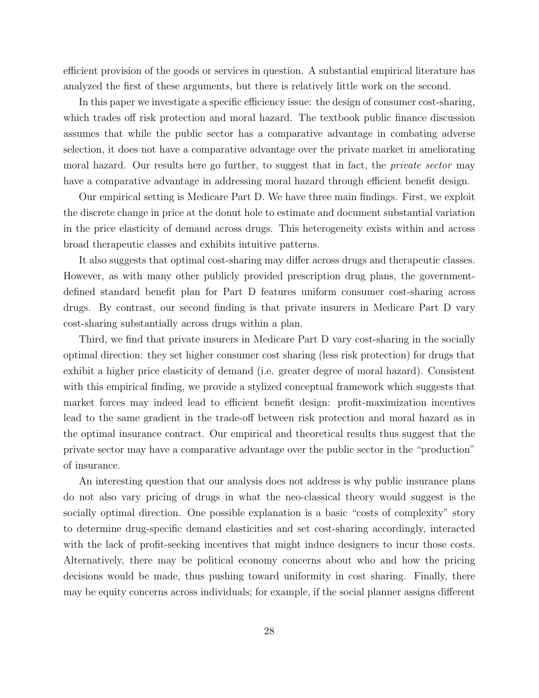efficient provision of the goods or services in question. A substantial empirical literature has analyzed the first of these arguments, but there is relatively little work on the second.

In this paper we investigate a specific efficiency issue: the design of consumer cost-sharing, which trades off risk protection and moral hazard. The textbook public finance discussion assumes that while the public sector has a comparative advantage in combating adverse selection, it does not have a comparative advantage over the private market in ameliorating moral hazard. Our results here go further, to suggest that in fact, the *private sector* may have a comparative advantage in addressing moral hazard through efficient benefit design.

Our empirical setting is Medicare Part D. We have three main findings. First, we exploit the discrete change in price at the donut hole to estimate and document substantial variation in the price elasticity of demand across drugs. This heterogeneity exists within and across broad therapeutic classes and exhibits intuitive patterns.

It also suggests that optimal cost-sharing may differ across drugs and therapeutic classes. However, as with many other publicly provided prescription drug plans, the governmentdefined standard benefit plan for Part D features uniform consumer cost-sharing across drugs. By contrast, our second finding is that private insurers in Medicare Part D vary cost-sharing substantially across drugs within a plan.

Third, we find that private insurers in Medicare Part D vary cost-sharing in the socially optimal direction: they set higher consumer cost sharing (less risk protection) for drugs that exhibit a higher price elasticity of demand (i.e. greater degree of moral hazard). Consistent with this empirical finding, we provide a stylized conceptual framework which suggests that market forces may indeed lead to efficient benefit design: profit-maximization incentives lead to the same gradient in the trade-off between risk protection and moral hazard as in the optimal insurance contract. Our empirical and theoretical results thus suggest that the private sector may have a comparative advantage over the public sector in the "production" of insurance.

An interesting question that our analysis does not address is why public insurance plans do not also vary pricing of drugs in what the neo-classical theory would suggest is the socially optimal direction. One possible explanation is a basic "costs of complexity" story to determine drug-specific demand elasticities and set cost-sharing accordingly, interacted with the lack of profit-seeking incentives that might induce designers to incur those costs. Alternatively, there may be political economy concerns about who and how the pricing decisions would be made, thus pushing toward uniformity in cost sharing. Finally, there may be equity concerns across individuals; for example, if the social planner assigns different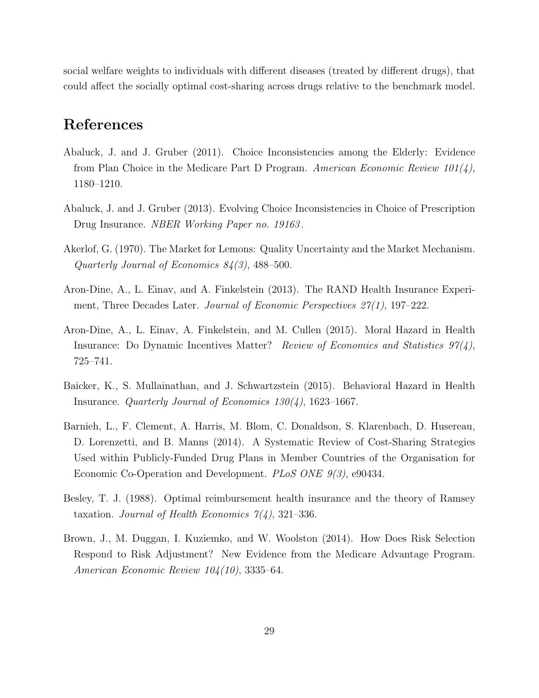social welfare weights to individuals with different diseases (treated by different drugs), that could affect the socially optimal cost-sharing across drugs relative to the benchmark model.

# References

- <span id="page-29-1"></span>Abaluck, J. and J. Gruber (2011). Choice Inconsistencies among the Elderly: Evidence from Plan Choice in the Medicare Part D Program. American Economic Review  $101(4)$ , 1180–1210.
- <span id="page-29-2"></span>Abaluck, J. and J. Gruber (2013). Evolving Choice Inconsistencies in Choice of Prescription Drug Insurance. NBER Working Paper no. 19163 .
- <span id="page-29-4"></span>Akerlof, G. (1970). The Market for Lemons: Quality Uncertainty and the Market Mechanism. Quarterly Journal of Economics 84(3), 488–500.
- <span id="page-29-7"></span>Aron-Dine, A., L. Einav, and A. Finkelstein (2013). The RAND Health Insurance Experiment, Three Decades Later. Journal of Economic Perspectives  $27(1)$ , 197-222.
- <span id="page-29-6"></span>Aron-Dine, A., L. Einav, A. Finkelstein, and M. Cullen (2015). Moral Hazard in Health Insurance: Do Dynamic Incentives Matter? Review of Economics and Statistics  $97(4)$ , 725–741.
- <span id="page-29-8"></span>Baicker, K., S. Mullainathan, and J. Schwartzstein (2015). Behavioral Hazard in Health Insurance. Quarterly Journal of Economics  $130(4)$ , 1623–1667.
- <span id="page-29-3"></span>Barnieh, L., F. Clement, A. Harris, M. Blom, C. Donaldson, S. Klarenbach, D. Husereau, D. Lorenzetti, and B. Manns (2014). A Systematic Review of Cost-Sharing Strategies Used within Publicly-Funded Drug Plans in Member Countries of the Organisation for Economic Co-Operation and Development. *PLoS ONE 9(3)*, e90434.
- <span id="page-29-0"></span>Besley, T. J. (1988). Optimal reimbursement health insurance and the theory of Ramsey taxation. Journal of Health Economics  $7(4)$ , 321–336.
- <span id="page-29-5"></span>Brown, J., M. Duggan, I. Kuziemko, and W. Woolston (2014). How Does Risk Selection Respond to Risk Adjustment? New Evidence from the Medicare Advantage Program. American Economic Review 104(10), 3335–64.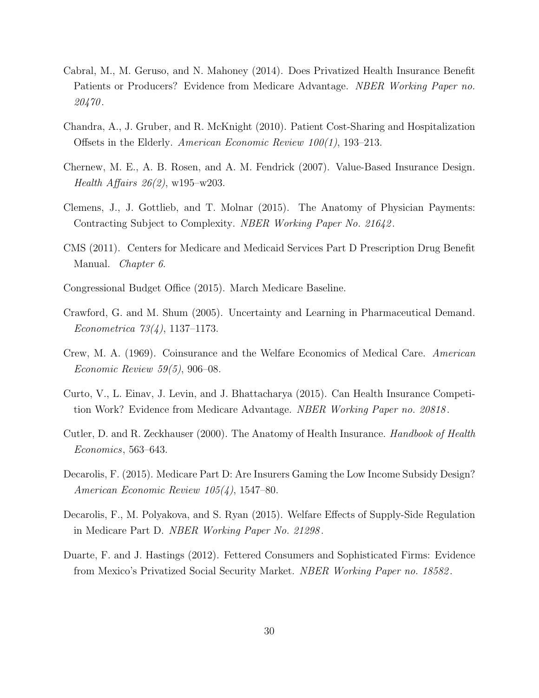- <span id="page-30-2"></span>Cabral, M., M. Geruso, and N. Mahoney (2014). Does Privatized Health Insurance Benefit Patients or Producers? Evidence from Medicare Advantage. NBER Working Paper no. 20470 .
- <span id="page-30-10"></span>Chandra, A., J. Gruber, and R. McKnight (2010). Patient Cost-Sharing and Hospitalization Offsets in the Elderly. American Economic Review 100(1), 193–213.
- <span id="page-30-5"></span>Chernew, M. E., A. B. Rosen, and A. M. Fendrick (2007). Value-Based Insurance Design. Health Affairs  $26(2)$ , w195–w203.
- <span id="page-30-4"></span>Clemens, J., J. Gottlieb, and T. Molnar (2015). The Anatomy of Physician Payments: Contracting Subject to Complexity. NBER Working Paper No. 21642 .
- <span id="page-30-12"></span>CMS (2011). Centers for Medicare and Medicaid Services Part D Prescription Drug Benefit Manual. Chapter 6.
- <span id="page-30-11"></span>Congressional Budget Office (2015). March Medicare Baseline.
- <span id="page-30-9"></span>Crawford, G. and M. Shum (2005). Uncertainty and Learning in Pharmaceutical Demand. Econometrica 73(4), 1137–1173.
- <span id="page-30-1"></span>Crew, M. A. (1969). Coinsurance and the Welfare Economics of Medical Care. American Economic Review 59(5), 906–08.
- <span id="page-30-3"></span>Curto, V., L. Einav, J. Levin, and J. Bhattacharya (2015). Can Health Insurance Competition Work? Evidence from Medicare Advantage. *NBER Working Paper no. 20818*.
- <span id="page-30-6"></span>Cutler, D. and R. Zeckhauser (2000). The Anatomy of Health Insurance. Handbook of Health Economics, 563–643.
- <span id="page-30-8"></span>Decarolis, F. (2015). Medicare Part D: Are Insurers Gaming the Low Income Subsidy Design? American Economic Review 105(4), 1547–80.
- <span id="page-30-7"></span>Decarolis, F., M. Polyakova, and S. Ryan (2015). Welfare Effects of Supply-Side Regulation in Medicare Part D. NBER Working Paper No. 21298 .
- <span id="page-30-0"></span>Duarte, F. and J. Hastings (2012). Fettered Consumers and Sophisticated Firms: Evidence from Mexico's Privatized Social Security Market. NBER Working Paper no. 18582 .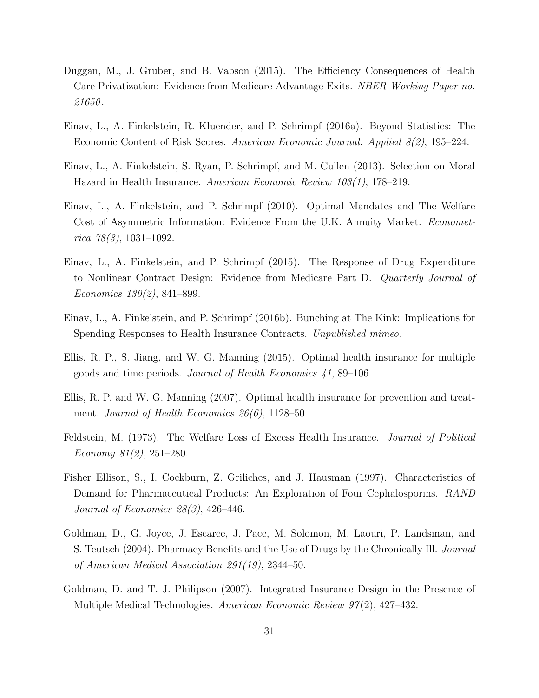- <span id="page-31-5"></span>Duggan, M., J. Gruber, and B. Vabson (2015). The Efficiency Consequences of Health Care Privatization: Evidence from Medicare Advantage Exits. NBER Working Paper no. 21650 .
- Einav, L., A. Finkelstein, R. Kluender, and P. Schrimpf (2016a). Beyond Statistics: The Economic Content of Risk Scores. American Economic Journal: Applied 8(2), 195–224.
- <span id="page-31-6"></span>Einav, L., A. Finkelstein, S. Ryan, P. Schrimpf, and M. Cullen (2013). Selection on Moral Hazard in Health Insurance. American Economic Review 103(1), 178–219.
- <span id="page-31-1"></span>Einav, L., A. Finkelstein, and P. Schrimpf (2010). Optimal Mandates and The Welfare Cost of Asymmetric Information: Evidence From the U.K. Annuity Market. *Economet*rica  $78(3)$ , 1031-1092.
- <span id="page-31-9"></span>Einav, L., A. Finkelstein, and P. Schrimpf (2015). The Response of Drug Expenditure to Nonlinear Contract Design: Evidence from Medicare Part D. Quarterly Journal of Economics 130(2), 841–899.
- Einav, L., A. Finkelstein, and P. Schrimpf (2016b). Bunching at The Kink: Implications for Spending Responses to Health Insurance Contracts. Unpublished mimeo.
- <span id="page-31-4"></span>Ellis, R. P., S. Jiang, and W. G. Manning (2015). Optimal health insurance for multiple goods and time periods. Journal of Health Economics 41, 89–106.
- <span id="page-31-2"></span>Ellis, R. P. and W. G. Manning (2007). Optimal health insurance for prevention and treatment. Journal of Health Economics 26(6), 1128–50.
- <span id="page-31-0"></span>Feldstein, M. (1973). The Welfare Loss of Excess Health Insurance. Journal of Political Economy 81(2), 251–280.
- <span id="page-31-7"></span>Fisher Ellison, S., I. Cockburn, Z. Griliches, and J. Hausman (1997). Characteristics of Demand for Pharmaceutical Products: An Exploration of Four Cephalosporins. RAND Journal of Economics 28(3), 426–446.
- <span id="page-31-8"></span>Goldman, D., G. Joyce, J. Escarce, J. Pace, M. Solomon, M. Laouri, P. Landsman, and S. Teutsch (2004). Pharmacy Benefits and the Use of Drugs by the Chronically Ill. Journal of American Medical Association 291(19), 2344–50.
- <span id="page-31-3"></span>Goldman, D. and T. J. Philipson (2007). Integrated Insurance Design in the Presence of Multiple Medical Technologies. American Economic Review 97(2), 427–432.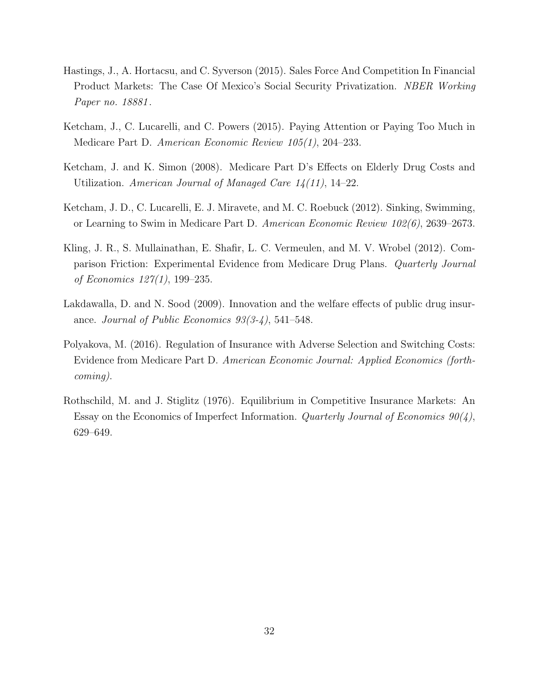- <span id="page-32-0"></span>Hastings, J., A. Hortacsu, and C. Syverson (2015). Sales Force And Competition In Financial Product Markets: The Case Of Mexico's Social Security Privatization. NBER Working Paper no. 18881 .
- <span id="page-32-2"></span>Ketcham, J., C. Lucarelli, and C. Powers (2015). Paying Attention or Paying Too Much in Medicare Part D. American Economic Review 105(1), 204–233.
- <span id="page-32-5"></span>Ketcham, J. and K. Simon (2008). Medicare Part D's Effects on Elderly Drug Costs and Utilization. American Journal of Managed Care  $14(11)$ , 14-22.
- <span id="page-32-1"></span>Ketcham, J. D., C. Lucarelli, E. J. Miravete, and M. C. Roebuck (2012). Sinking, Swimming, or Learning to Swim in Medicare Part D. American Economic Review 102(6), 2639–2673.
- <span id="page-32-3"></span>Kling, J. R., S. Mullainathan, E. Shafir, L. C. Vermeulen, and M. V. Wrobel (2012). Comparison Friction: Experimental Evidence from Medicare Drug Plans. Quarterly Journal of Economics 127(1), 199–235.
- <span id="page-32-7"></span>Lakdawalla, D. and N. Sood (2009). Innovation and the welfare effects of public drug insurance. Journal of Public Economics 93(3-4), 541–548.
- <span id="page-32-6"></span>Polyakova, M. (2016). Regulation of Insurance with Adverse Selection and Switching Costs: Evidence from Medicare Part D. American Economic Journal: Applied Economics (forthcoming).
- <span id="page-32-4"></span>Rothschild, M. and J. Stiglitz (1976). Equilibrium in Competitive Insurance Markets: An Essay on the Economics of Imperfect Information. Quarterly Journal of Economics  $90(4)$ , 629–649.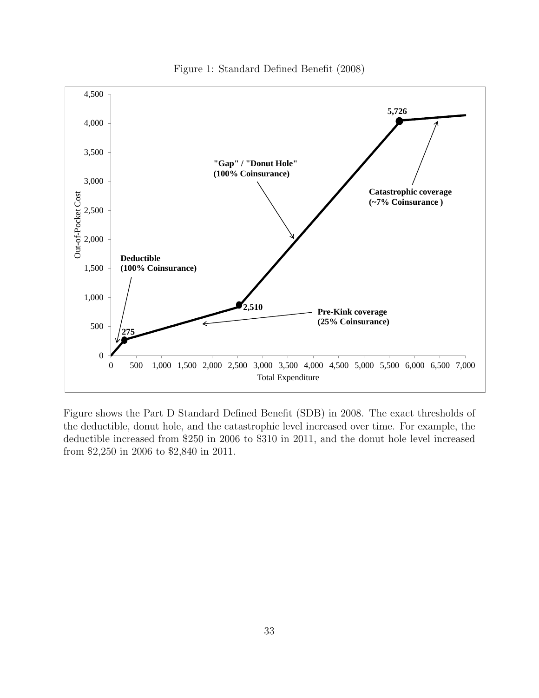<span id="page-33-0"></span>

Figure 1: Standard Defined Benefit (2008)

Figure shows the Part D Standard Defined Benefit (SDB) in 2008. The exact thresholds of the deductible, donut hole, and the catastrophic level increased over time. For example, the deductible increased from \$250 in 2006 to \$310 in 2011, and the donut hole level increased from \$2,250 in 2006 to \$2,840 in 2011.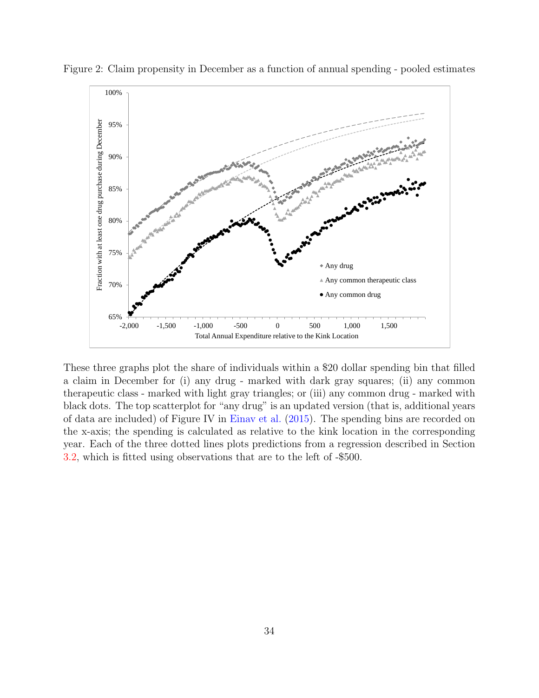

<span id="page-34-0"></span>Figure 2: Claim propensity in December as a function of annual spending - pooled estimates

These three graphs plot the share of individuals within a \$20 dollar spending bin that filled a claim in December for (i) any drug - marked with dark gray squares; (ii) any common therapeutic class - marked with light gray triangles; or (iii) any common drug - marked with black dots. The top scatterplot for "any drug" is an updated version (that is, additional years of data are included) of Figure IV in [Einav et al.](#page-31-9) [\(2015\)](#page-31-9). The spending bins are recorded on the x-axis; the spending is calculated as relative to the kink location in the corresponding year. Each of the three dotted lines plots predictions from a regression described in Section [3.2,](#page-9-0) which is fitted using observations that are to the left of -\$500.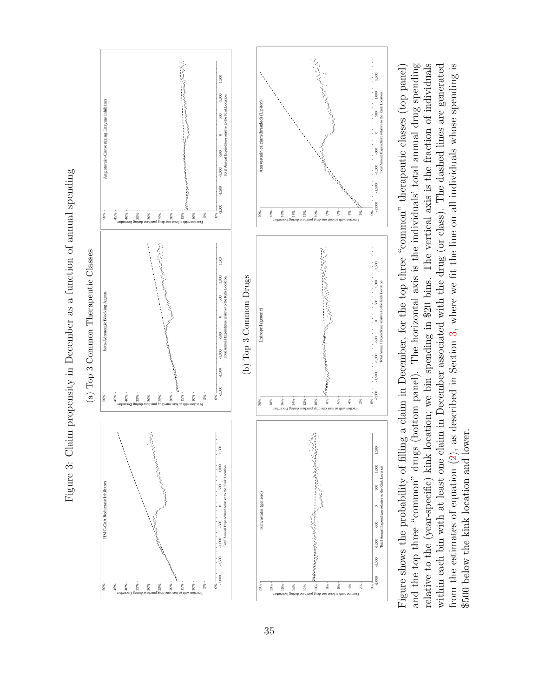<span id="page-35-0"></span>

and the top three "common" drugs (bottom panel). The horizontal axis is the individuals' total annual drug spending relative to the (year-specific) kink location; we bin spending in \$20 bins. The vertical axis is the fraction of individuals from the estimates of equation  $(2)$ , as described in Section 3, where we fit the line on all individuals whose spending is Figure shows the probability of filling a claim in December, for the top three "common" therapeutic classes (top panel)<br>and the top three "common" drugs (bottom panel). The horizontal axis is the individuals' total annual within each bin with at least one claim in December associated with the drug (or class). The dashed lines are generated Figure shows the probability of filing a claim in December, for the top three "common" therapeutic classes (top panel) \$500 below the kink location and lower.

Figure 3: Claim propensity in December as a function of annual spending Figure 3: Claim propensity in December as a function of annual spending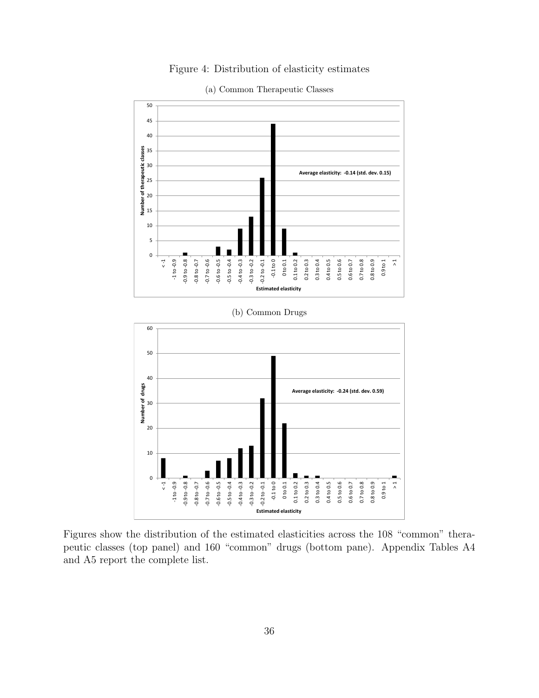Figure 4: Distribution of elasticity estimates

<span id="page-36-0"></span>

(a) Common Therapeutic Classes

Figures show the distribution of the estimated elasticities across the 108 "common" therapeutic classes (top panel) and 160 "common" drugs (bottom pane). Appendix Tables A4 and A5 report the complete list.

**Estimated elasticity**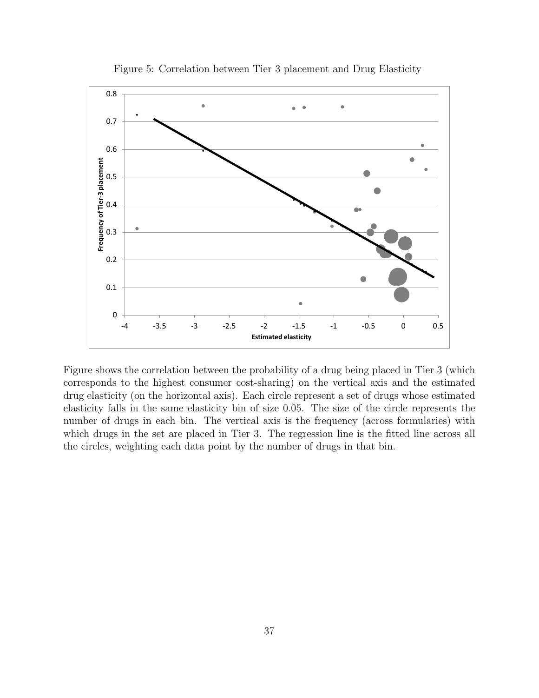<span id="page-37-0"></span>

Figure 5: Correlation between Tier 3 placement and Drug Elasticity

Figure shows the correlation between the probability of a drug being placed in Tier 3 (which corresponds to the highest consumer cost-sharing) on the vertical axis and the estimated drug elasticity (on the horizontal axis). Each circle represent a set of drugs whose estimated elasticity falls in the same elasticity bin of size 0.05. The size of the circle represents the number of drugs in each bin. The vertical axis is the frequency (across formularies) with which drugs in the set are placed in Tier 3. The regression line is the fitted line across all the circles, weighting each data point by the number of drugs in that bin.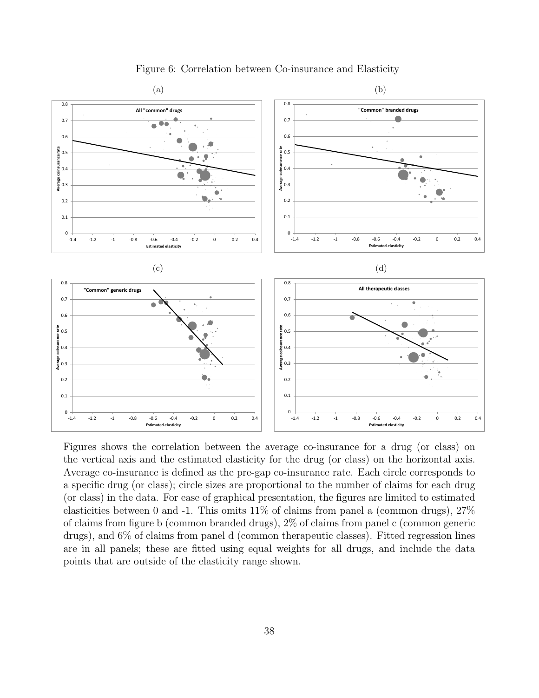<span id="page-38-0"></span>

Figure 6: Correlation between Co-insurance and Elasticity

Figures shows the correlation between the average co-insurance for a drug (or class) on the vertical axis and the estimated elasticity for the drug (or class) on the horizontal axis. Average co-insurance is defined as the pre-gap co-insurance rate. Each circle corresponds to a specific drug (or class); circle sizes are proportional to the number of claims for each drug (or class) in the data. For ease of graphical presentation, the figures are limited to estimated elasticities between 0 and -1. This omits  $11\%$  of claims from panel a (common drugs),  $27\%$ of claims from figure b (common branded drugs), 2% of claims from panel c (common generic drugs), and 6% of claims from panel d (common therapeutic classes). Fitted regression lines are in all panels; these are fitted using equal weights for all drugs, and include the data points that are outside of the elasticity range shown.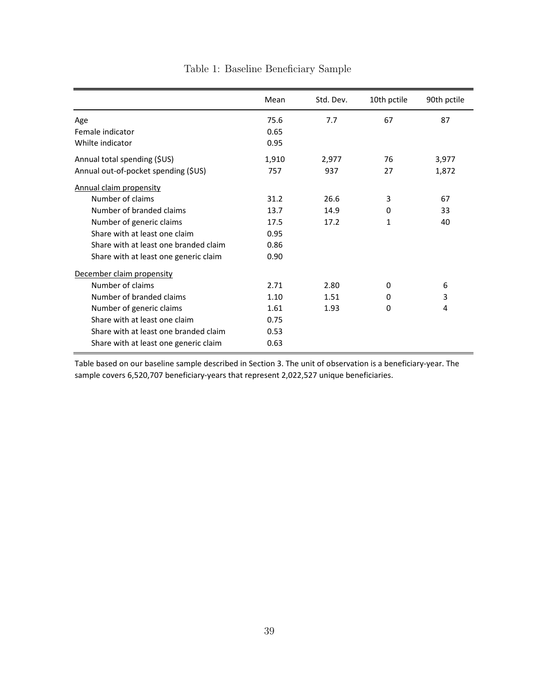<span id="page-39-0"></span>

|                                       | Mean  | Std. Dev. | 10th pctile  | 90th pctile |
|---------------------------------------|-------|-----------|--------------|-------------|
| Age                                   | 75.6  | 7.7       | 67           | 87          |
| Female indicator                      | 0.65  |           |              |             |
| Whilte indicator                      | 0.95  |           |              |             |
| Annual total spending (\$US)          | 1,910 | 2,977     | 76           | 3,977       |
| Annual out-of-pocket spending (\$US)  | 757   | 937       | 27           | 1,872       |
| <b>Annual claim propensity</b>        |       |           |              |             |
| Number of claims                      | 31.2  | 26.6      | 3            | 67          |
| Number of branded claims              | 13.7  | 14.9      | 0            | 33          |
| Number of generic claims              | 17.5  | 17.2      | $\mathbf{1}$ | 40          |
| Share with at least one claim         | 0.95  |           |              |             |
| Share with at least one branded claim | 0.86  |           |              |             |
| Share with at least one generic claim | 0.90  |           |              |             |
| December claim propensity             |       |           |              |             |
| Number of claims                      | 2.71  | 2.80      | 0            | 6           |
| Number of branded claims              | 1.10  | 1.51      | $\Omega$     | 3           |
| Number of generic claims              | 1.61  | 1.93      | 0            | 4           |
| Share with at least one claim         | 0.75  |           |              |             |
| Share with at least one branded claim | 0.53  |           |              |             |
| Share with at least one generic claim | 0.63  |           |              |             |

Table 1: Baseline Beneficiary Sample

Table based on our baseline sample described in Section 3. The unit of observation is a beneficiary-year. The sample covers 6,520,707 beneficiary-years that represent 2,022,527 unique beneficiaries.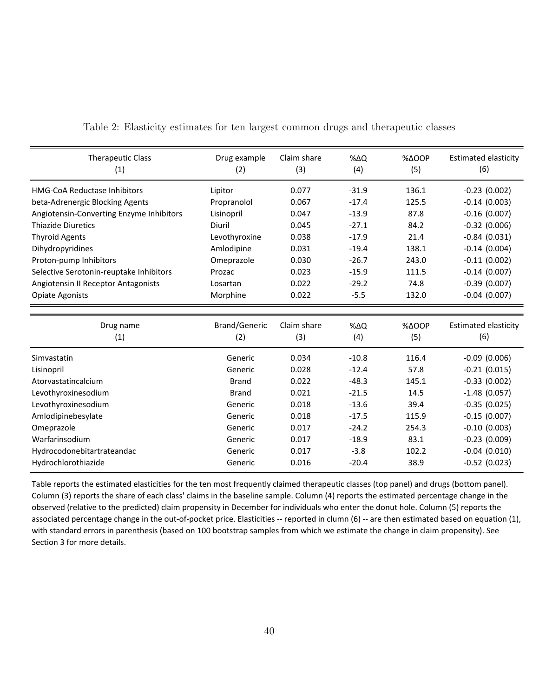| <b>Therapeutic Class</b><br>(1)          | Drug example<br>(2)  | Claim share<br>(3) | $% \Delta Q$<br>(4) | $% \triangle OOP$<br>(5) | <b>Estimated elasticity</b><br>(6) |
|------------------------------------------|----------------------|--------------------|---------------------|--------------------------|------------------------------------|
| <b>HMG-CoA Reductase Inhibitors</b>      | Lipitor              | 0.077              | $-31.9$             | 136.1                    | $-0.23(0.002)$                     |
| beta-Adrenergic Blocking Agents          | Propranolol          | 0.067              | $-17.4$             | 125.5                    | $-0.14(0.003)$                     |
| Angiotensin-Converting Enzyme Inhibitors | Lisinopril           | 0.047              | $-13.9$             | 87.8                     | $-0.16(0.007)$                     |
| <b>Thiazide Diuretics</b>                | Diuril               | 0.045              | $-27.1$             | 84.2                     | $-0.32$ (0.006)                    |
| <b>Thyroid Agents</b>                    | Levothyroxine        | 0.038              | $-17.9$             | 21.4                     | $-0.84(0.031)$                     |
| Dihydropyridines                         | Amlodipine           | 0.031              | $-19.4$             | 138.1                    | $-0.14(0.004)$                     |
| Proton-pump Inhibitors                   | Omeprazole           | 0.030              | $-26.7$             | 243.0                    | $-0.11(0.002)$                     |
| Selective Serotonin-reuptake Inhibitors  | Prozac               | 0.023              | $-15.9$             | 111.5                    | $-0.14(0.007)$                     |
| Angiotensin II Receptor Antagonists      | Losartan             | 0.022              | $-29.2$             | 74.8                     | $-0.39(0.007)$                     |
| <b>Opiate Agonists</b>                   | Morphine             | 0.022              | $-5.5$              | 132.0                    | $-0.04$ (0.007)                    |
|                                          |                      |                    |                     |                          |                                    |
| Drug name                                | <b>Brand/Generic</b> | Claim share        | %∆Q                 | $% \triangle OOP$        | <b>Estimated elasticity</b>        |
| (1)                                      | (2)                  | (3)                | (4)                 | (5)                      | (6)                                |
| Simvastatin                              | Generic              | 0.034              | $-10.8$             | 116.4                    | $-0.09(0.006)$                     |
| Lisinopril                               | Generic              | 0.028              | $-12.4$             | 57.8                     | $-0.21(0.015)$                     |
| Atorvastatincalcium                      | <b>Brand</b>         | 0.022              | $-48.3$             | 145.1                    | $-0.33(0.002)$                     |
| Levothyroxinesodium                      | <b>Brand</b>         | 0.021              | $-21.5$             | 14.5                     | $-1.48$ (0.057)                    |
| Levothyroxinesodium                      | Generic              | 0.018              | $-13.6$             | 39.4                     | $-0.35(0.025)$                     |
| Amlodipinebesylate                       | Generic              | 0.018              | $-17.5$             | 115.9                    | $-0.15(0.007)$                     |
| Omeprazole                               | Generic              | 0.017              | $-24.2$             | 254.3                    | $-0.10$ (0.003)                    |
| Warfarinsodium                           | Generic              | 0.017              | $-18.9$             | 83.1                     | $-0.23(0.009)$                     |
| Hydrocodonebitartrateandac               | Generic              | 0.017              | $-3.8$              | 102.2                    | $-0.04$ (0.010)                    |
| Hydrochlorothiazide                      | Generic              | 0.016              | $-20.4$             | 38.9                     | $-0.52$ (0.023)                    |

<span id="page-40-0"></span>Table 2: Elasticity estimates for ten largest common drugs and therapeutic classes

Table reports the estimated elasticities for the ten most frequently claimed therapeutic classes (top panel) and drugs (bottom panel). Column (3) reports the share of each class' claims in the baseline sample. Column (4) reports the estimated percentage change in the observed (relative to the predicted) claim propensity in December for individuals who enter the donut hole. Column (5) reports the associated percentage change in the out-of-pocket price. Elasticities -- reported in clumn (6) -- are then estimated based on equation (1), with standard errors in parenthesis (based on 100 bootstrap samples from which we estimate the change in claim propensity). See Section 3 for more details.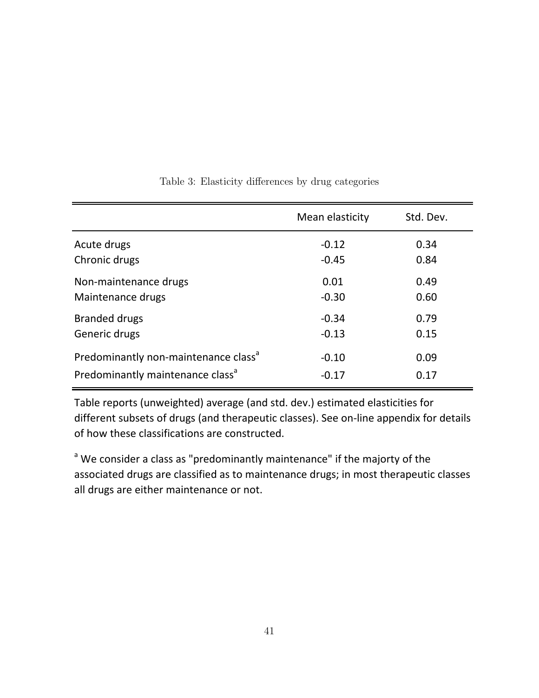<span id="page-41-0"></span>

|                                                  | Mean elasticity | Std. Dev. |
|--------------------------------------------------|-----------------|-----------|
| Acute drugs                                      | $-0.12$         | 0.34      |
| Chronic drugs                                    | $-0.45$         | 0.84      |
| Non-maintenance drugs                            | 0.01            | 0.49      |
| Maintenance drugs                                | $-0.30$         | 0.60      |
| <b>Branded drugs</b>                             | $-0.34$         | 0.79      |
| Generic drugs                                    | $-0.13$         | 0.15      |
| Predominantly non-maintenance class <sup>a</sup> | $-0.10$         | 0.09      |
| Predominantly maintenance class <sup>a</sup>     | $-0.17$         | 0.17      |

## Table 3: Elasticity differences by drug categories

Table reports (unweighted) average (and std. dev.) estimated elasticities for different subsets of drugs (and therapeutic classes). See on-line appendix for details of how these classifications are constructed.

<sup>a</sup> We consider a class as "predominantly maintenance" if the majorty of the associated drugs are classified as to maintenance drugs; in most therapeutic classes all drugs are either maintenance or not.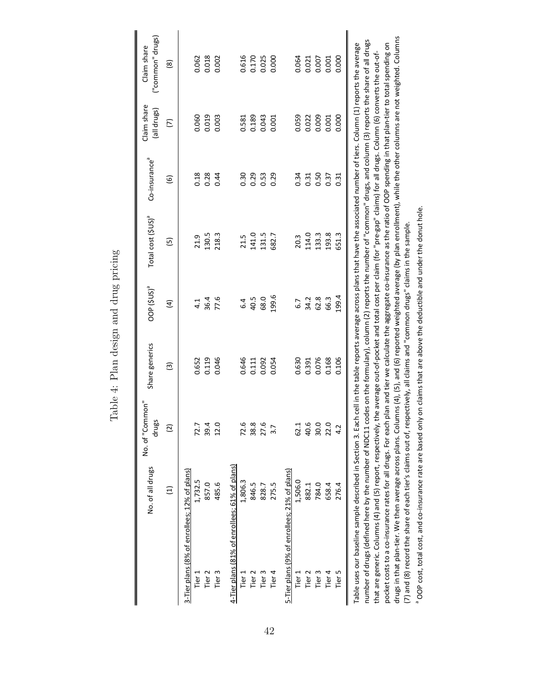<span id="page-42-0"></span>

|                                              | No. of all drugs                                                                                                                                                                                                                                                                                                                                                                                                                                                                                                                                            | No. of "Common"<br>drugs | Share generics         | oop (\$us) <sup>a</sup> | Total cost (\$US) <sup>ª</sup> | Co-insurance <sup>a</sup> | Claim share<br>(all drugs) | ("common" drugs)<br>Claim share |
|----------------------------------------------|-------------------------------------------------------------------------------------------------------------------------------------------------------------------------------------------------------------------------------------------------------------------------------------------------------------------------------------------------------------------------------------------------------------------------------------------------------------------------------------------------------------------------------------------------------------|--------------------------|------------------------|-------------------------|--------------------------------|---------------------------|----------------------------|---------------------------------|
|                                              | $\Xi$                                                                                                                                                                                                                                                                                                                                                                                                                                                                                                                                                       | $\overline{\mathcal{C}}$ | $\widehat{\mathbf{e}}$ | $\widehat{E}$           | $\overline{5}$                 | $\widehat{\mathbf{e}}$    | $\widehat{\triangleright}$ | $\circledR$                     |
| 3-Tier plans (8% of enrollees; 12% of plans) |                                                                                                                                                                                                                                                                                                                                                                                                                                                                                                                                                             |                          |                        |                         |                                |                           |                            |                                 |
| Tier $1$                                     | 1,732.5                                                                                                                                                                                                                                                                                                                                                                                                                                                                                                                                                     | 72.7                     | 0.652                  | 4.1                     | 21.9                           | 0.18                      | 0.060                      | 0.062                           |
| Tier <sub>2</sub>                            | 857.0                                                                                                                                                                                                                                                                                                                                                                                                                                                                                                                                                       | 39.4                     | 0.119                  | 36.4                    | 130.5                          | 0.28                      | 0.019                      | 0.018                           |
| Tier <sub>3</sub>                            | 485.6                                                                                                                                                                                                                                                                                                                                                                                                                                                                                                                                                       | 12.0                     | 0.046                  | 77.6                    | 218.3                          | 0.44                      | 0.003                      | 0.002                           |
|                                              | 4-Tier plans (81% of enrollees; 61% of plans)                                                                                                                                                                                                                                                                                                                                                                                                                                                                                                               |                          |                        |                         |                                |                           |                            |                                 |
| Tier $1$                                     | 1,806.3                                                                                                                                                                                                                                                                                                                                                                                                                                                                                                                                                     | م<br>72.                 | 0.646                  | 6.4                     | 21.5                           | 0.30                      | 0.581                      | 0.616                           |
| Tier <sub>2</sub>                            | 846.5                                                                                                                                                                                                                                                                                                                                                                                                                                                                                                                                                       | $^{\circ}$<br>38.        | 0.111                  | 40.5                    | 141.0                          | 0.29                      | 0.189                      | 0.170                           |
| Tier <sub>3</sub>                            | 828.7                                                                                                                                                                                                                                                                                                                                                                                                                                                                                                                                                       | 27.6                     | 0.092                  | 68.0                    | 131.5                          | 0.53                      | 0.043                      | 0.025                           |
| Tier 4                                       | 275.5                                                                                                                                                                                                                                                                                                                                                                                                                                                                                                                                                       | $\frac{1}{3}$            | 0.054                  | 199.6                   | 682.7                          | 0.29                      | 0.001                      | 0.000                           |
|                                              | 5-Tier plans (9% of enrollees; 21% of plans)                                                                                                                                                                                                                                                                                                                                                                                                                                                                                                                |                          |                        |                         |                                |                           |                            |                                 |
| Tier 1                                       | 1,506.0                                                                                                                                                                                                                                                                                                                                                                                                                                                                                                                                                     | 62.1                     | 0.630                  | 6.7                     | 20.3                           | 0.34                      | 0.059                      | 0.064                           |
| Tier 2                                       | 882.1                                                                                                                                                                                                                                                                                                                                                                                                                                                                                                                                                       | 40.6                     | 0.391                  | 34.2                    | 114.0                          | 0.31                      | 0.022                      | 0.021                           |
| Tier <sub>3</sub>                            | 784.0                                                                                                                                                                                                                                                                                                                                                                                                                                                                                                                                                       | 30.0                     | 0.076                  | 62.8                    | 133.3                          | 0.50                      | 0.009                      | 0.007                           |
| Tier 4                                       | 658.4                                                                                                                                                                                                                                                                                                                                                                                                                                                                                                                                                       | 22.0                     | 0.168                  | 66.3                    | 193.8                          | 0.37                      | 0.001                      | 0.001                           |
| Tier 5                                       | 276.4                                                                                                                                                                                                                                                                                                                                                                                                                                                                                                                                                       | $\ddot{ }$               | 0.106                  | 199.4                   | 651.3                          | 0.31                      | 0.000                      | 0.000                           |
|                                              | number of drugs (defined here by the number of NDC11 codes on the formulary), column (2) reports the number of "common" drugs, and column (3) reports the share of all drugs<br>Table uses our baseline sample described in Section 3. Each cell in the table reports average across plans that have the associated number of tiers. Column (1) reports the average<br>that are generic. Columns (4) and (5) report, respectively, the average out-of-pocket and total cost per claim (for "pre-gap" claims) for all drugs. Column (6) converts the out-of- |                          |                        |                         |                                |                           |                            |                                 |

Table 4: Plan design and drug pricing Table 4: Plan design and drug pricing

pocket costs to a co-insurance rates for all drugs. For each plan and tier we calculate the aggregate co-insurance as the ratio of OOP spending in that plan-tier to total spending on<br>drugs in that plan-tier. We then averag drugs in that plan-tier. We then average across plans. Columns (4), (5), and (6) reported weighted average (by plan enrollment), while the other columns are not weighted. Columns pocket costs to a co-insurance rates for all drugs. For each plan and tier we calculate the aggregate co-insurance as the ratio of OOP spending in that plan-tier to total spending on that are generic. Columns (4) and (5) report, respectively, the average out-of-pocket and total cost per claim (for "pre-gap" claims) for all drugs. Column (6) converts the out-of-(7) and (8) record the share of each tier's claims out of, respectively, all claims and "common drugs" claims in the sample. a

<sup>a</sup> OOP cost, total cost, and co-insurance rate are based only on claims that are above the deductible and under the donut hole. OOP cost, total cost, and co-insurance rate are based only on claims that are above the deductible and under the donut hole.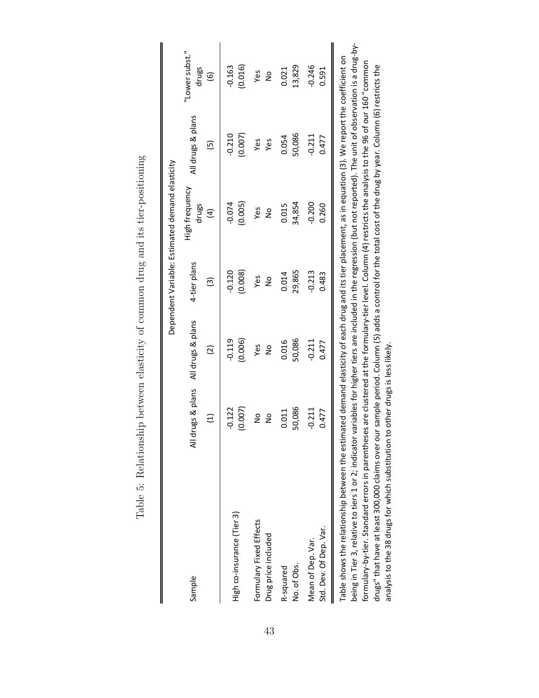<span id="page-43-0"></span>

|                                                                                                                                                                                                                                                                                                                                        |               |                   |              | Dependent Variable: Estimated demand elasticity |                   |                         |
|----------------------------------------------------------------------------------------------------------------------------------------------------------------------------------------------------------------------------------------------------------------------------------------------------------------------------------------|---------------|-------------------|--------------|-------------------------------------------------|-------------------|-------------------------|
| Sample                                                                                                                                                                                                                                                                                                                                 | drugs & plans | All drugs & plans | 4-tier plans | High frequency<br>drugs                         | All drugs & plans | "Lower subst."<br>drugs |
|                                                                                                                                                                                                                                                                                                                                        | $\Xi$         | $\overline{c}$    | ତି           | $\widehat{H}$                                   | Θ                 | $\widehat{\mathbf{e}}$  |
| High co-insurance (Tier 3)                                                                                                                                                                                                                                                                                                             | (0.007)       | $-0.119$          | $-0.120$     | $-0.074$                                        | $-0.210$          | (0.016)                 |
|                                                                                                                                                                                                                                                                                                                                        | $-0.122$      | (0.006)           | (0.008)      | (0.005)                                         | (0.007)           | $-0.163$                |
| Formulary Fixed Effects                                                                                                                                                                                                                                                                                                                | $\frac{1}{2}$ | Yes               | Yes          | Yes                                             | Yes               | Yes                     |
| Drug price included                                                                                                                                                                                                                                                                                                                    | $\frac{1}{2}$ | ş                 | å            | å                                               | Yes               | ş                       |
| No. of Obs.                                                                                                                                                                                                                                                                                                                            | 50,086        | 50,086            | 29,865       | 34,854                                          | 50,086            | 13,829                  |
| R-squared                                                                                                                                                                                                                                                                                                                              | 0.011         | 0.016             | 0.014        | 0.015                                           | 0.054             | 0.021                   |
| Std. Dev. Of Dep. Var.                                                                                                                                                                                                                                                                                                                 | $-0.211$      | $-0.211$          | $-0.213$     | $-0.200$                                        | $-0.211$          | $-0.246$                |
| Mean of Dep. Var.                                                                                                                                                                                                                                                                                                                      | 0.477         | 0.477             | 0.483        | 0.260                                           | 0.477             | 0.591                   |
| being in Tier 3, relative to tiers 1 or 2; indicator variables for higher tiers are included in the regression (but not reported). The unit of observation is a drug-by-<br>Table shows the relationship between the estimated demand elasticity of each drug and its tier placement, as in equation (3). We report the coefficient on |               |                   |              |                                                 |                   |                         |

Table 5: Relationship between elasticity of common drug and its tier-positioning Table 5: Relationship between elasticity of common drug and its tier-positioning formulary-by-tier. Standard errors in parentheses are clustered at the formulary-tier level. Column (4) restricts the analysis to the 96 of our 160 "common formulary-by-tier. Standard errors in parentheses are clustered at the formulary-tier level. Column (4) restricts the analysis to the 96 of our 160 "common drugs" that have at least 300,000 claims over our sample period. Column (5) adds a control for the total cost of the drug by year. Column (6) restricts the drugs" that have at least 300,000 claims over our sample period. Column (5) adds a control for the total cost of the drug by year. Column (6) restricts the analysis to the 38 drugs for which substitution to other drugs is less likely. analysis to the 38 drugs for which substitution to other drugs is less likely.